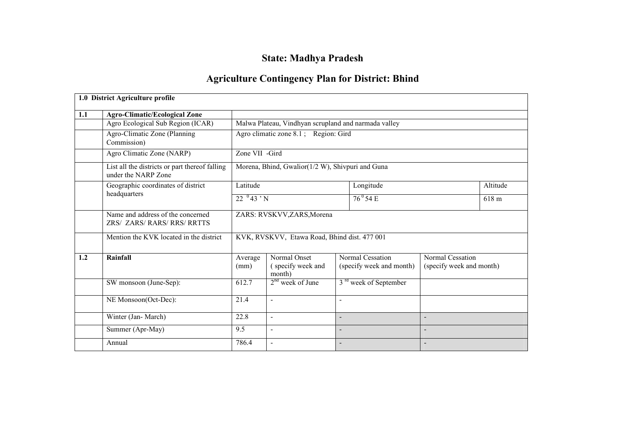# State: Madhya Pradesh

# Agriculture Contingency Plan for District: Bhind

|     | 1.0 District Agriculture profile                                      |                            |                                                      |                          |                                              |                                              |          |  |
|-----|-----------------------------------------------------------------------|----------------------------|------------------------------------------------------|--------------------------|----------------------------------------------|----------------------------------------------|----------|--|
| 1.1 | <b>Agro-Climatic/Ecological Zone</b>                                  |                            |                                                      |                          |                                              |                                              |          |  |
|     | Agro Ecological Sub Region (ICAR)                                     |                            | Malwa Plateau, Vindhyan scrupland and narmada valley |                          |                                              |                                              |          |  |
|     | Agro-Climatic Zone (Planning<br>Commission)                           |                            | Agro climatic zone 8.1; Region: Gird                 |                          |                                              |                                              |          |  |
|     | Agro Climatic Zone (NARP)                                             | Zone VII -Gird             |                                                      |                          |                                              |                                              |          |  |
|     | List all the districts or part thereof falling<br>under the NARP Zone |                            | Morena, Bhind, Gwalior(1/2 W), Shivpuri and Guna     |                          |                                              |                                              |          |  |
|     | Geographic coordinates of district                                    | Latitude                   |                                                      |                          | Longitude                                    |                                              | Altitude |  |
|     | headquarters                                                          | $22^{0}43 \cdot N$         |                                                      |                          | $76^{\circ}$ 54 E                            |                                              | 618 m    |  |
|     | Name and address of the concerned<br>ZRS/ ZARS/ RARS/ RRS/ RRTTS      | ZARS: RVSKVV, ZARS, Morena |                                                      |                          |                                              |                                              |          |  |
|     | Mention the KVK located in the district                               |                            | KVK, RVSKVV, Etawa Road, Bhind dist. 477 001         |                          |                                              |                                              |          |  |
| 1.2 | Rainfall                                                              | Average<br>(mm)            | Normal Onset<br>(specify week and<br>month)          |                          | Normal Cessation<br>(specify week and month) | Normal Cessation<br>(specify week and month) |          |  |
|     | SW monsoon (June-Sep):                                                | 612.7                      | $2nd$ week of June                                   |                          | 3 <sup>rd</sup> week of September            |                                              |          |  |
|     | NE Monsoon(Oct-Dec):                                                  | 21.4                       | $\overline{a}$                                       | $\overline{\phantom{a}}$ |                                              |                                              |          |  |
|     | Winter (Jan-March)                                                    | 22.8                       | $\overline{\phantom{a}}$                             |                          |                                              |                                              |          |  |
|     | Summer (Apr-May)                                                      | 9.5                        | $\overline{\phantom{a}}$                             |                          |                                              |                                              |          |  |
|     | Annual                                                                | 786.4                      | $\overline{\phantom{a}}$                             |                          |                                              |                                              |          |  |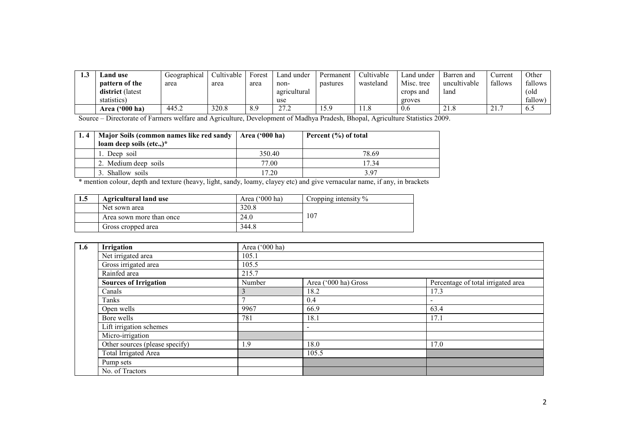| ⊥.⊾ | and use.              | Geographical | Cultivable | Forest | Land under   | Permanent | Cultivable | Land under | Barren and          | ∠urrent                                | Other   |
|-----|-----------------------|--------------|------------|--------|--------------|-----------|------------|------------|---------------------|----------------------------------------|---------|
|     | <b>pattern of the</b> | area         | area       | area   | non-         | pastures  | wasteland  | Misc. tree | uncultivable        | fallows                                | fallows |
|     | district (latest      |              |            |        | agricultural |           |            | crops and  | land                |                                        | (old    |
|     | statistics)           |              |            |        | use          |           |            | groves     |                     |                                        | fallow  |
|     | Area $(900)$ ha)      | 445.2        | 320.8      | 8.9    | 272<br>41.4  | 15 Q      | 11.8       | 0.6        | $^{\sim}$ 1<br>41.0 | $\mathbf{A}$ $\mathbf{A}$<br>$\sim$ 1. | 0.5     |

Source – Directorate of Farmers welfare and Agriculture, Development of Madhya Pradesh, Bhopal, Agriculture Statistics 2009.

| Major Soils (common names like red sandy   Area ('000 ha) |        | Percent $(\% )$ of total |  |  |
|-----------------------------------------------------------|--------|--------------------------|--|--|
| loam deep soils (etc.,) $*$                               |        |                          |  |  |
| 1. Deep soil                                              | 350.40 | 78.69                    |  |  |
| 2. Medium deep soils                                      | 77.00  | 17.34                    |  |  |
| 3. Shallow soils                                          | 17.20  | 397                      |  |  |

\* mention colour, depth and texture (heavy, light, sandy, loamy, clayey etc) and give vernacular name, if any, in brackets

| 1.5 | <b>Agricultural land use</b> | Area ('000 ha) | Cropping intensity $\%$ |
|-----|------------------------------|----------------|-------------------------|
|     | Net sown area                | 320.8          |                         |
|     | Area sown more than once     | 24.0           | 107                     |
|     | Gross cropped area           | 344.8          |                         |

| 1.6 | Irrigation                     | Area ('000 ha) |                          |                                    |
|-----|--------------------------------|----------------|--------------------------|------------------------------------|
|     | Net irrigated area             | 105.1          |                          |                                    |
|     | Gross irrigated area           | 105.5          |                          |                                    |
|     | Rainfed area                   | 215.7          |                          |                                    |
|     | <b>Sources of Irrigation</b>   | Number         | Area ('000 ha) Gross     | Percentage of total irrigated area |
|     | Canals                         |                | 18.2                     | 17.3                               |
|     | Tanks                          |                | 0.4                      | $\overline{\phantom{a}}$           |
|     | Open wells                     | 9967           | 66.9                     | 63.4                               |
|     | Bore wells                     | 781            | 18.1                     | 17.1                               |
|     | Lift irrigation schemes        |                | $\overline{\phantom{a}}$ |                                    |
|     | Micro-irrigation               |                |                          |                                    |
|     | Other sources (please specify) | 1.9            | 18.0                     | 17.0                               |
|     | Total Irrigated Area           |                | 105.5                    |                                    |
|     | Pump sets                      |                |                          |                                    |
|     | No. of Tractors                |                |                          |                                    |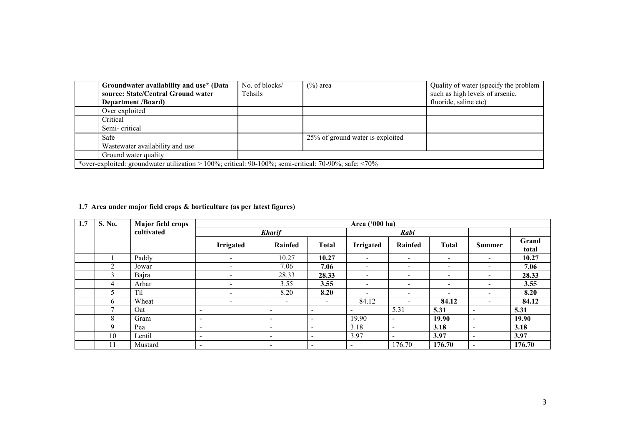| Groundwater availability and use* (Data                                                                      | No. of blocks/ | $(\%)$ area                      | Quality of water (specify the problem |
|--------------------------------------------------------------------------------------------------------------|----------------|----------------------------------|---------------------------------------|
| source: State/Central Ground water                                                                           | Tehsils        |                                  | such as high levels of arsenic,       |
| <b>Department</b> <i>(Board)</i>                                                                             |                |                                  | fluoride, saline etc)                 |
| Over exploited                                                                                               |                |                                  |                                       |
| Critical                                                                                                     |                |                                  |                                       |
| Semi-critical                                                                                                |                |                                  |                                       |
| Safe                                                                                                         |                | 25% of ground water is exploited |                                       |
| Wastewater availability and use                                                                              |                |                                  |                                       |
| Ground water quality                                                                                         |                |                                  |                                       |
| *over-exploited: groundwater utilization > 100%; critical: 90-100%; semi-critical: 70-90%; safe: $\leq 70\%$ |                |                                  |                                       |

#### 1.7 Area under major field crops & horticulture (as per latest figures)

| 1.7 | S. No.      | <b>Major field crops</b> |                              |                          |                          | Area ('000 ha)               |                              |                          |                          |        |
|-----|-------------|--------------------------|------------------------------|--------------------------|--------------------------|------------------------------|------------------------------|--------------------------|--------------------------|--------|
|     |             | cultivated               |                              | <b>Kharif</b>            |                          |                              | Rabi                         |                          |                          |        |
|     |             |                          | <b>Irrigated</b>             | Rainfed                  | <b>Total</b>             | <b>Irrigated</b>             | Rainfed                      | <b>Total</b>             | <b>Summer</b>            | Grand  |
|     |             |                          |                              |                          |                          |                              |                              |                          |                          | total  |
|     |             | Paddy                    | -                            | 10.27                    | 10.27                    | $\overline{\phantom{0}}$     | $\overline{\phantom{0}}$     | $\overline{\phantom{a}}$ | $\overline{\phantom{0}}$ | 10.27  |
|     | $\sim$      | Jowar                    | -                            | 7.06                     | 7.06                     | $\overline{\phantom{a}}$     | $\overline{\phantom{a}}$     | $\overline{\phantom{0}}$ | $\overline{\phantom{a}}$ | 7.06   |
|     | $\Delta$    | Bajra                    | $\qquad \qquad \blacksquare$ | 28.33                    | 28.33                    | $\qquad \qquad \blacksquare$ | $\overline{\phantom{0}}$     | $\overline{\phantom{a}}$ | $\overline{\phantom{a}}$ | 28.33  |
|     | 4           | Arhar                    | $\sim$                       | 3.55                     | 3.55                     | $\blacksquare$               | $\sim$                       | $\overline{\phantom{0}}$ | $\overline{\phantom{a}}$ | 3.55   |
|     |             | Til                      | $\overline{\phantom{a}}$     | 8.20                     | 8.20                     | $\overline{\phantom{0}}$     | $\overline{\phantom{a}}$     | $\overline{\phantom{a}}$ | $\overline{\phantom{a}}$ | 8.20   |
|     | 6           | Wheat                    | $\qquad \qquad \blacksquare$ | $\overline{\phantom{a}}$ | $\overline{\phantom{0}}$ | 84.12                        | $\overline{\phantom{a}}$     | 84.12                    | $\overline{\phantom{0}}$ | 84.12  |
|     |             | Oat                      | $\overline{\phantom{a}}$     | $\overline{\phantom{a}}$ | $\overline{\phantom{a}}$ | $\overline{\phantom{a}}$     | 5.31                         | 5.31                     | $\overline{\phantom{a}}$ | 5.31   |
|     | 8           | Gram                     | $\overline{\phantom{0}}$     | $\overline{\phantom{a}}$ | $\sim$                   | 19.90                        | $\qquad \qquad \blacksquare$ | 19.90                    | $\overline{\phantom{a}}$ | 19.90  |
|     | $\mathbf Q$ | Pea                      | $\overline{\phantom{a}}$     | $\overline{\phantom{a}}$ | $\overline{\phantom{a}}$ | 3.18                         | $\qquad \qquad$              | 3.18                     | $\overline{\phantom{a}}$ | 3.18   |
|     | 10          | Lentil                   | $\overline{\phantom{a}}$     | $\overline{\phantom{a}}$ | $\overline{\phantom{0}}$ | 3.97                         | -                            | 3.97                     | $\overline{\phantom{a}}$ | 3.97   |
|     | 11          | Mustard                  | $\overline{\phantom{a}}$     | $\overline{\phantom{a}}$ | $\overline{\phantom{a}}$ | $\overline{\phantom{0}}$     | 176.70                       | 176.70                   | $\overline{\phantom{a}}$ | 176.70 |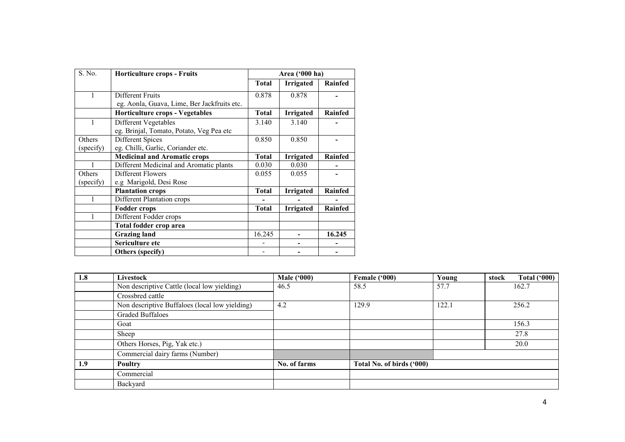| S. No.    | <b>Horticulture crops - Fruits</b>          |              | Area ('000 ha)   |                |
|-----------|---------------------------------------------|--------------|------------------|----------------|
|           |                                             | <b>Total</b> | <b>Irrigated</b> | Rainfed        |
|           | Different Fruits                            | 0.878        | 0.878            |                |
|           | eg. Aonla, Guava, Lime, Ber Jackfruits etc. |              |                  |                |
|           | <b>Horticulture crops - Vegetables</b>      | <b>Total</b> | <b>Irrigated</b> | <b>Rainfed</b> |
| 1         | Different Vegetables                        | 3.140        | 3.140            |                |
|           | eg. Brinjal, Tomato, Potato, Veg Pea etc    |              |                  |                |
| Others    | Different Spices                            | 0.850        | 0.850            |                |
| (specify) | eg. Chilli, Garlic, Coriander etc.          |              |                  |                |
|           | <b>Medicinal and Aromatic crops</b>         | <b>Total</b> | <b>Irrigated</b> | <b>Rainfed</b> |
|           | Different Medicinal and Aromatic plants     | 0.030        | 0.030            |                |
| Others    | Different Flowers                           | 0.055        | 0.055            |                |
| (specify) | e.g Marigold, Desi Rose                     |              |                  |                |
|           | <b>Plantation crops</b>                     | <b>Total</b> | <b>Irrigated</b> | Rainfed        |
|           | Different Plantation crops                  |              |                  |                |
|           | <b>Fodder crops</b>                         | <b>Total</b> | <b>Irrigated</b> | <b>Rainfed</b> |
|           | Different Fodder crops                      |              |                  |                |
|           | Total fodder crop area                      |              |                  |                |
|           | <b>Grazing land</b>                         | 16.245       |                  | 16.245         |
|           | Sericulture etc                             |              |                  |                |
|           | <b>Others</b> (specify)                     |              |                  |                |

| 1.8 | Livestock                                      | <b>Male</b> ('000) | Female ('000)             | Young | stock | Total $(900)$ |
|-----|------------------------------------------------|--------------------|---------------------------|-------|-------|---------------|
|     | Non descriptive Cattle (local low yielding)    | 46.5               | 58.5                      | 57.7  |       | 162.7         |
|     | Crossbred cattle                               |                    |                           |       |       |               |
|     | Non descriptive Buffaloes (local low yielding) | 4.2                | 129.9                     | 122.1 |       | 256.2         |
|     | <b>Graded Buffaloes</b>                        |                    |                           |       |       |               |
|     | Goat                                           |                    |                           |       |       | 156.3         |
|     | Sheep                                          |                    |                           |       |       | 27.8          |
|     | Others Horses, Pig, Yak etc.)                  |                    |                           |       |       | 20.0          |
|     | Commercial dairy farms (Number)                |                    |                           |       |       |               |
| 1.9 | Poultry                                        | No. of farms       | Total No. of birds ('000) |       |       |               |
|     | Commercial                                     |                    |                           |       |       |               |
|     | Backyard                                       |                    |                           |       |       |               |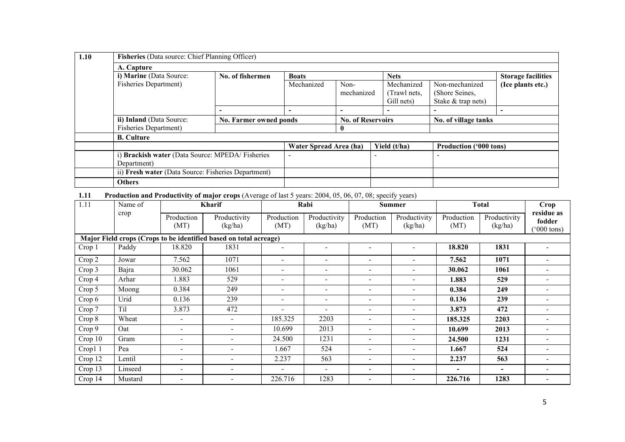| 1.10 | <b>Fisheries</b> (Data source: Chief Planning Officer) |                          |                          |                          |                          |                               |                   |
|------|--------------------------------------------------------|--------------------------|--------------------------|--------------------------|--------------------------|-------------------------------|-------------------|
|      | A. Capture                                             |                          |                          |                          |                          |                               |                   |
|      | i) Marine (Data Source:                                | No. of fishermen         | <b>Boats</b>             |                          | <b>Nets</b>              | <b>Storage facilities</b>     |                   |
|      | <b>Fisheries Department)</b>                           |                          | Mechanized               | Non-                     | Mechanized               | Non-mechanized                | (Ice plants etc.) |
|      |                                                        |                          |                          | mechanized               | (Trawl nets,             | (Shore Seines,                |                   |
|      |                                                        |                          |                          |                          | Gill nets)               | Stake & trap nets)            |                   |
|      |                                                        | $\overline{\phantom{a}}$ | $\overline{\phantom{0}}$ | $\overline{\phantom{0}}$ | $\overline{\phantom{0}}$ |                               |                   |
|      | ii) Inland (Data Source:                               | No. Farmer owned ponds   | <b>No. of Reservoirs</b> |                          |                          | No. of village tanks          |                   |
|      | <b>Fisheries Department)</b>                           |                          |                          | $\mathbf{0}$             |                          |                               |                   |
|      | <b>B.</b> Culture                                      |                          |                          |                          |                          |                               |                   |
|      |                                                        |                          | Water Spread Area (ha)   |                          | Yield (t/ha)             | <b>Production ('000 tons)</b> |                   |
|      | i) Brackish water (Data Source: MPEDA/Fisheries        |                          |                          |                          |                          |                               |                   |
|      | Department)                                            |                          |                          |                          |                          |                               |                   |
|      | ii) Fresh water (Data Source: Fisheries Department)    |                          |                          |                          |                          |                               |                   |
|      | <b>Others</b>                                          |                          |                          |                          |                          |                               |                   |

1.11 Production and Productivity of major crops (Average of last 5 years: 2004, 05, 06, 07, 08; specify years)

| 1.11    | Name of | <b>Kharif</b>            |                                                                   |                              |                          |                          | Rabi                     |                    | <b>Summer</b>           | <b>Total</b>                                 |  | Crop |
|---------|---------|--------------------------|-------------------------------------------------------------------|------------------------------|--------------------------|--------------------------|--------------------------|--------------------|-------------------------|----------------------------------------------|--|------|
|         | crop    | Production<br>(MT)       | Productivity<br>(kg/ha)                                           | Production<br>(MT)           | Productivity<br>(kg/ha)  | Production<br>(MT)       | Productivity<br>(kg/ha)  | Production<br>(MT) | Productivity<br>(kg/ha) | residue as<br>fodder<br>$(000 \text{ tons})$ |  |      |
|         |         |                          | Major Field crops (Crops to be identified based on total acreage) |                              |                          |                          |                          |                    |                         |                                              |  |      |
| Crop 1  | Paddy   | 18.820                   | 1831                                                              | $\blacksquare$               |                          |                          |                          | 18.820             | 1831                    |                                              |  |      |
| Crop 2  | Jowar   | 7.562                    | 1071                                                              | $\overline{\phantom{a}}$     | $\overline{\phantom{0}}$ |                          |                          | 7.562              | 1071                    |                                              |  |      |
| Crop 3  | Bajra   | 30.062                   | 1061                                                              | $\overline{\phantom{a}}$     | $\overline{\phantom{a}}$ | $\overline{\phantom{a}}$ |                          | 30.062             | 1061                    | $\overline{\phantom{0}}$                     |  |      |
| Crop 4  | Arhar   | 1.883                    | 529                                                               | $\overline{\phantom{a}}$     | $\overline{\phantom{a}}$ | $\overline{\phantom{0}}$ |                          | 1.883              | 529                     | $\blacksquare$                               |  |      |
| Crop 5  | Moong   | 0.384                    | 249                                                               | $\qquad \qquad \blacksquare$ | $\overline{\phantom{0}}$ | $\overline{\phantom{0}}$ | $\overline{\phantom{a}}$ | 0.384              | 249                     | $\blacksquare$                               |  |      |
| Crop 6  | Urid    | 0.136                    | 239                                                               | $\overline{\phantom{a}}$     | $\overline{\phantom{0}}$ | $\overline{\phantom{0}}$ |                          | 0.136              | 239                     | $\overline{\phantom{0}}$                     |  |      |
| Crop 7  | Til     | 3.873                    | 472                                                               | $\qquad \qquad \blacksquare$ | $\overline{\phantom{a}}$ | $\overline{\phantom{0}}$ |                          | 3.873              | 472                     | $\overline{\phantom{0}}$                     |  |      |
| Crop 8  | Wheat   | $\overline{\phantom{a}}$ | $\overline{\phantom{a}}$                                          | 185.325                      | 2203                     | $\overline{\phantom{0}}$ | $\overline{\phantom{a}}$ | 185.325            | 2203                    | $\blacksquare$                               |  |      |
| Crop 9  | Oat     | $\blacksquare$           | $\sim$                                                            | 10.699                       | 2013                     | $\overline{\phantom{0}}$ | $\sim$                   | 10.699             | 2013                    | ۰                                            |  |      |
| Crop 10 | Gram    | $\overline{\phantom{a}}$ | $\sim$                                                            | 24.500                       | 1231                     | $\overline{\phantom{a}}$ | $\sim$                   | 24.500             | 1231                    | $\blacksquare$                               |  |      |
| Crop1 1 | Pea     | $\overline{\phantom{a}}$ | -                                                                 | 1.667                        | 524                      | $\overline{\phantom{a}}$ | $\overline{\phantom{a}}$ | 1.667              | 524                     | $\overline{\phantom{0}}$                     |  |      |
| Crop 12 | Lentil  | $\overline{\phantom{a}}$ | $\overline{\phantom{a}}$                                          | 2.237                        | 563                      | $\overline{\phantom{a}}$ | $\overline{\phantom{a}}$ | 2.237              | 563                     | $\overline{\phantom{0}}$                     |  |      |
| Crop 13 | Linseed | $\blacksquare$           | $\overline{\phantom{0}}$                                          | $\overline{\phantom{a}}$     | $\overline{\phantom{a}}$ | $\overline{\phantom{a}}$ | $\overline{\phantom{a}}$ | ٠                  | $\sim$                  | $\blacksquare$                               |  |      |
| Crop 14 | Mustard | $\blacksquare$           | $\overline{\phantom{0}}$                                          | 226.716                      | 1283                     | $\overline{\phantom{a}}$ | $\overline{\phantom{a}}$ | 226.716            | 1283                    | $\blacksquare$                               |  |      |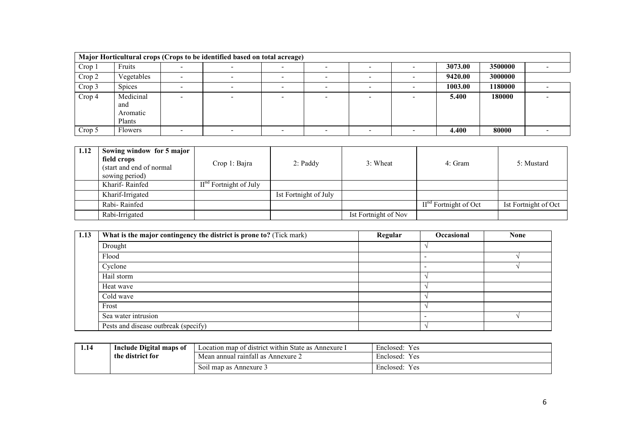|        |                                        | Major Horticultural crops (Crops to be identified based on total acreage) |        |                          |         |         |  |
|--------|----------------------------------------|---------------------------------------------------------------------------|--------|--------------------------|---------|---------|--|
| Crop 1 | Fruits                                 |                                                                           |        |                          | 3073.00 | 3500000 |  |
| Crop 2 | Vegetables                             |                                                                           |        |                          | 9420.00 | 3000000 |  |
| Crop 3 | <b>Spices</b>                          |                                                                           | $\sim$ | $\overline{\phantom{0}}$ | 1003.00 | 1180000 |  |
| Crop 4 | Medicinal<br>and<br>Aromatic<br>Plants |                                                                           |        |                          | 5.400   | 180000  |  |
| Crop 5 | <b>Flowers</b>                         |                                                                           |        |                          | 4.400   | 80000   |  |

| 1.12 | Sowing window for 5 major<br>field crops<br>(start and end of normal)<br>sowing period) | Crop 1: Bajra            | $2:$ Paddy            | 3: Wheat             | 4: Gram                 | 5: Mustard           |
|------|-----------------------------------------------------------------------------------------|--------------------------|-----------------------|----------------------|-------------------------|----------------------|
|      | Kharif-Rainfed                                                                          | $IInd$ Fortnight of July |                       |                      |                         |                      |
|      | Kharif-Irrigated                                                                        |                          | Ist Fortnight of July |                      |                         |                      |
|      | Rabi-Rainfed                                                                            |                          |                       |                      | $IInd$ Fortnight of Oct | Ist Fortnight of Oct |
|      | Rabi-Irrigated                                                                          |                          |                       | Ist Fortnight of Nov |                         |                      |

| 1.13 | What is the major contingency the district is prone to? (Tick mark) | Regular | Occasional | <b>None</b> |
|------|---------------------------------------------------------------------|---------|------------|-------------|
|      | Drought                                                             |         |            |             |
|      | Flood                                                               |         |            |             |
|      | Cyclone                                                             |         |            |             |
|      | Hail storm                                                          |         |            |             |
|      | Heat wave                                                           |         |            |             |
|      | Cold wave                                                           |         |            |             |
|      | Frost                                                               |         |            |             |
|      | Sea water intrusion                                                 |         |            |             |
|      | Pests and disease outbreak (specify)                                |         |            |             |

| 1.14             | Include Digital maps of | $\sim$ $\sim$ $\sim$<br>Location map of district within State as a<br>Annexure 1 | $\mathbf{v}$<br>Enclosed:<br>Y es |  |
|------------------|-------------------------|----------------------------------------------------------------------------------|-----------------------------------|--|
| the district for |                         | Mean annual rainfall as Annexure 2                                               | Enclosed:<br>Y es                 |  |
|                  |                         | Soil map as Annexure 3                                                           | Enclosed:<br>Y es                 |  |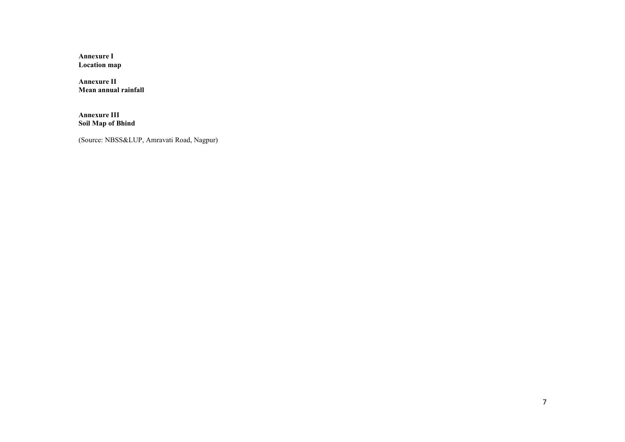Annexure I Location map

Annexure II Mean annual rainfall

Annexure III Soil Map of Bhind

(Source: NBSS&LUP, Amravati Road, Nagpur)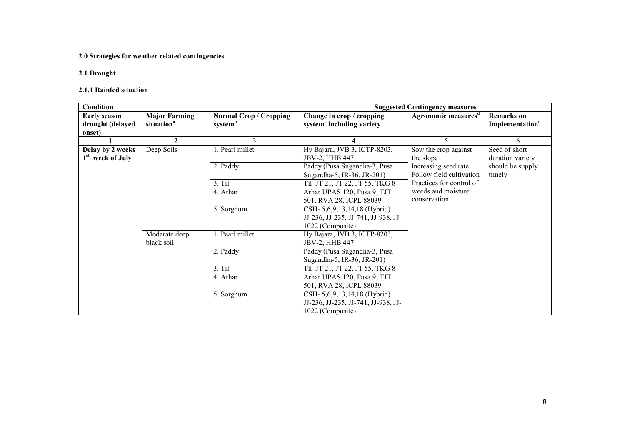#### 2.0 Strategies for weather related contingencies

# 2.1 Drought

#### 2.1.1 Rainfed situation

| <b>Condition</b>                                  |                                                |                                                      |                                                                                              | <b>Suggested Contingency measures</b>            |                                                  |
|---------------------------------------------------|------------------------------------------------|------------------------------------------------------|----------------------------------------------------------------------------------------------|--------------------------------------------------|--------------------------------------------------|
| <b>Early season</b><br>drought (delayed<br>onset) | <b>Major Farming</b><br>situation <sup>a</sup> | <b>Normal Crop / Cropping</b><br>system <sup>b</sup> | Change in crop / cropping<br>system <sup>c</sup> including variety                           | Agronomic measures <sup>d</sup>                  | <b>Remarks</b> on<br>Implementation <sup>e</sup> |
|                                                   | $\mathfrak{D}$                                 |                                                      |                                                                                              |                                                  | 6                                                |
| Delay by 2 weeks<br>1 <sup>st</sup> week of July  | Deep Soils                                     | 1. Pearl millet                                      | Hy Bajara, JVB 3, ICTP-8203,<br>JBV-2, HHB 447                                               | Sow the crop against<br>the slope                | Seed of short<br>duration variety                |
|                                                   |                                                | 2. Paddy                                             | Paddy (Pusa Sugandha-3, Pusa<br>Sugandha-5, IR-36, JR-201)                                   | Increasing seed rate<br>Follow field cultivation | should be supply<br>timely                       |
|                                                   |                                                | 3. Til                                               | Til JT 21, JT 22, JT 55, TKG 8                                                               | Practices for control of                         |                                                  |
|                                                   |                                                | 4. Arhar                                             | Arhar UPAS 120, Pusa 9, TJT<br>501, RVA 28, ICPL 88039                                       | weeds and moisture<br>conservation               |                                                  |
|                                                   |                                                | 5. Sorghum                                           | CSH- 5, 6, 9, 13, 14, 18 (Hybrid)<br>JJ-236, JJ-235, JJ-741, JJ-938, JJ-<br>1022 (Composite) |                                                  |                                                  |
|                                                   | Moderate deep<br>black soil                    | 1. Pearl millet                                      | Hy Bajara, JVB 3, ICTP-8203,<br>JBV-2, HHB 447                                               |                                                  |                                                  |
|                                                   |                                                | 2. Paddy                                             | Paddy (Pusa Sugandha-3, Pusa<br>Sugandha-5, IR-36, JR-201)                                   |                                                  |                                                  |
|                                                   |                                                | $3.$ Til                                             | Til JT 21, JT 22, JT 55, TKG 8                                                               |                                                  |                                                  |
|                                                   |                                                | 4. Arhar                                             | Arhar UPAS 120, Pusa 9, TJT<br>501, RVA 28, ICPL 88039                                       |                                                  |                                                  |
|                                                   |                                                | 5. Sorghum                                           | CSH- 5, 6, 9, 13, 14, 18 (Hybrid)<br>JJ-236, JJ-235, JJ-741, JJ-938, JJ-<br>1022 (Composite) |                                                  |                                                  |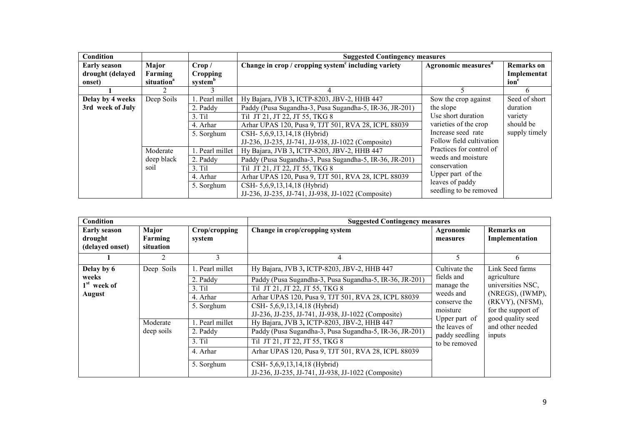| <b>Condition</b>    |                        |                     | <b>Suggested Contingency measures</b>                           |                                 |                   |
|---------------------|------------------------|---------------------|-----------------------------------------------------------------|---------------------------------|-------------------|
| <b>Early season</b> | Major                  | Crop /              | Change in crop / cropping system <sup>c</sup> including variety | Agronomic measures <sup>d</sup> | <b>Remarks</b> on |
| drought (delayed    | Farming                | Cropping            |                                                                 |                                 | Implementat       |
| onset)              | situation <sup>a</sup> | system <sup>b</sup> |                                                                 |                                 | ion               |
|                     |                        |                     |                                                                 |                                 |                   |
| Delay by 4 weeks    | Deep Soils             | Pearl millet        | Hy Bajara, JVB 3, ICTP-8203, JBV-2, HHB 447                     | Sow the crop against            | Seed of short     |
| 3rd week of July    |                        | 2. Paddy            | Paddy (Pusa Sugandha-3, Pusa Sugandha-5, IR-36, JR-201)         | the slope                       | duration          |
|                     |                        | 3. Ti1              | Til JT 21, JT 22, JT 55, TKG 8                                  | Use short duration              | variety           |
|                     |                        | 4. Arhar            | Arhar UPAS 120, Pusa 9, TJT 501, RVA 28, ICPL 88039             | varieties of the crop           | should be         |
|                     |                        | 5. Sorghum          | CSH- 5,6,9,13,14,18 (Hybrid)                                    | Increase seed rate              | supply timely     |
|                     |                        |                     | JJ-236, JJ-235, JJ-741, JJ-938, JJ-1022 (Composite)             | Follow field cultivation        |                   |
|                     | Moderate               | 1. Pearl millet     | Hy Bajara, JVB 3, ICTP-8203, JBV-2, HHB 447                     | Practices for control of        |                   |
|                     | deep black             | 2. Paddy            | Paddy (Pusa Sugandha-3, Pusa Sugandha-5, IR-36, JR-201)         | weeds and moisture              |                   |
|                     | soil                   | $3.$ Til            | Til JT 21, JT 22, JT 55, TKG 8                                  | conservation                    |                   |
|                     |                        | 4. Arhar            | Arhar UPAS 120, Pusa 9, TJT 501, RVA 28, ICPL 88039             | Upper part of the               |                   |
|                     |                        | 5. Sorghum          | CSH- 5,6,9,13,14,18 (Hybrid)                                    | leaves of paddy                 |                   |
|                     |                        |                     | JJ-236, JJ-235, JJ-741, JJ-938, JJ-1022 (Composite)             | seedling to be removed          |                   |

| Condition                                             |                               |                                                                   | <b>Suggested Contingency measures</b>                                                                                                                                                                                                                                                  |                                                                                    |                                                                                                                  |  |  |
|-------------------------------------------------------|-------------------------------|-------------------------------------------------------------------|----------------------------------------------------------------------------------------------------------------------------------------------------------------------------------------------------------------------------------------------------------------------------------------|------------------------------------------------------------------------------------|------------------------------------------------------------------------------------------------------------------|--|--|
| <b>Early season</b><br>drought<br>(delayed onset)     | Major<br>Farming<br>situation | Crop/cropping<br>system                                           | Change in crop/cropping system                                                                                                                                                                                                                                                         | Agronomic<br>measures                                                              | <b>Remarks</b> on<br>Implementation                                                                              |  |  |
|                                                       | າ                             | 3                                                                 | 4                                                                                                                                                                                                                                                                                      |                                                                                    | 6                                                                                                                |  |  |
| Delay by 6<br>weeks<br>$1st$ week of<br><b>August</b> | Deep Soils                    | 1. Pearl millet<br>2. Paddy<br>$3.$ Til<br>4. Arhar<br>5. Sorghum | Hy Bajara, JVB 3, ICTP-8203, JBV-2, HHB 447<br>Paddy (Pusa Sugandha-3, Pusa Sugandha-5, IR-36, JR-201)<br>Til JT 21, JT 22, JT 55, TKG 8<br>Arhar UPAS 120, Pusa 9, TJT 501, RVA 28, ICPL 88039<br>CSH- 5,6,9,13,14,18 (Hybrid)<br>JJ-236, JJ-235, JJ-741, JJ-938, JJ-1022 (Composite) | Cultivate the<br>fields and<br>manage the<br>weeds and<br>conserve the<br>moisture | Link Seed farms<br>agriculture<br>universities NSC.<br>(NREGS), (IWMP),<br>(RKVY), (NFSM),<br>for the support of |  |  |
|                                                       | Moderate<br>deep soils        | 1. Pearl millet<br>2. Paddy<br>3. Til<br>4. Arhar<br>5. Sorghum   | Hy Bajara, JVB 3, ICTP-8203, JBV-2, HHB 447<br>Paddy (Pusa Sugandha-3, Pusa Sugandha-5, IR-36, JR-201)<br>Til JT 21, JT 22, JT 55, TKG 8<br>Arhar UPAS 120, Pusa 9, TJT 501, RVA 28, ICPL 88039<br>CSH- 5,6,9,13,14,18 (Hybrid)<br>JJ-236, JJ-235, JJ-741, JJ-938, JJ-1022 (Composite) | Upper part of<br>the leaves of<br>paddy seedling<br>to be removed                  | good quality seed<br>and other needed<br>inputs                                                                  |  |  |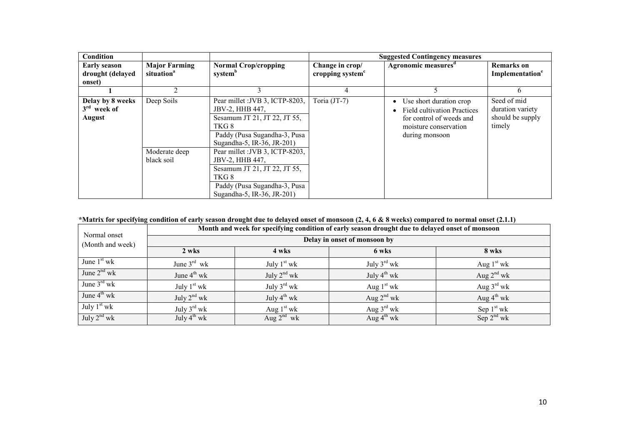| Condition           |                        |                                 |                              | <b>Suggested Contingency measures</b> |                             |
|---------------------|------------------------|---------------------------------|------------------------------|---------------------------------------|-----------------------------|
| <b>Early season</b> | <b>Major Farming</b>   | <b>Normal Crop/cropping</b>     | Change in crop/              | Agronomic measures <sup>d</sup>       | <b>Remarks</b> on           |
| drought (delayed    | situation <sup>a</sup> | system <sup>b</sup>             | cropping system <sup>c</sup> |                                       | Implementation <sup>e</sup> |
| onset)              |                        |                                 |                              |                                       |                             |
|                     |                        |                                 | 4                            |                                       | 6                           |
| Delay by 8 weeks    | Deep Soils             | Pear millet : JVB 3, ICTP-8203, | Toria (JT-7)                 | Use short duration crop               | Seed of mid                 |
| $3rd$ week of       |                        | JBV-2, HHB 447,                 |                              | <b>Field cultivation Practices</b>    | duration variety            |
| <b>August</b>       |                        | Sesamum JT 21, JT 22, JT 55,    |                              | for control of weeds and              | should be supply            |
|                     |                        | TKG8                            |                              | moisture conservation                 | timely                      |
|                     |                        | Paddy (Pusa Sugandha-3, Pusa    |                              | during monsoon                        |                             |
|                     |                        | Sugandha-5, IR-36, JR-201)      |                              |                                       |                             |
|                     | Moderate deep          | Pear millet : JVB 3, ICTP-8203, |                              |                                       |                             |
|                     | black soil             | JBV-2, HHB 447,                 |                              |                                       |                             |
|                     |                        | Sesamum JT 21, JT 22, JT 55,    |                              |                                       |                             |
|                     |                        | TKG8                            |                              |                                       |                             |
|                     |                        | Paddy (Pusa Sugandha-3, Pusa    |                              |                                       |                             |
|                     |                        | Sugandha-5, IR-36, JR-201)      |                              |                                       |                             |

# \*Matrix for specifying condition of early season drought due to delayed onset of monsoon (2, 4, 6 & 8 weeks) compared to normal onset (2.1.1)

|                                  | Month and week for specifying condition of early season drought due to delayed onset of monsoon |                         |                         |                        |  |  |  |  |
|----------------------------------|-------------------------------------------------------------------------------------------------|-------------------------|-------------------------|------------------------|--|--|--|--|
| Normal onset<br>(Month and week) | Delay in onset of monsoon by                                                                    |                         |                         |                        |  |  |  |  |
|                                  | 2 wks                                                                                           | 4 wks                   | 6 wks                   | 8 wks                  |  |  |  |  |
| June $1st$ wk                    | June $3^{rd}$ wk                                                                                | July $1st$ wk           | July $3^{\text{rd}}$ wk | Aug $1st$ wk           |  |  |  |  |
| June $2^{nd}$ wk                 | June $4^{\text{th}}$ wk                                                                         | July $2^{nd}$ wk        | July $4^{th}$ wk        | Aug $2^{nd}$ wk        |  |  |  |  |
| June $3^{\text{rd}}$ wk          | July $1st$ wk                                                                                   | July $3^{\text{rd}}$ wk | Aug $1st$ wk            | Aug $3^{\text{rd}}$ wk |  |  |  |  |
| June $4^{\text{th}}$ wk          | July $2^{nd}$ wk                                                                                | July $4^{th}$ wk        | Aug $2^{nd}$ wk         | Aug $4^{\text{th}}$ wk |  |  |  |  |
| July $1st$ wk                    | July $3^{\text{rd}}$ wk                                                                         | Aug $1st$ wk            | Aug $3^{\text{rd}}$ wk  | Sep $1st$ wk           |  |  |  |  |
| July $2^{nd}$ wk                 | July $4^{th}$ wk                                                                                | Aug $2^{nd}$ wk         | Aug $4^{\text{th}}$ wk  | Sep $2nd$ wk           |  |  |  |  |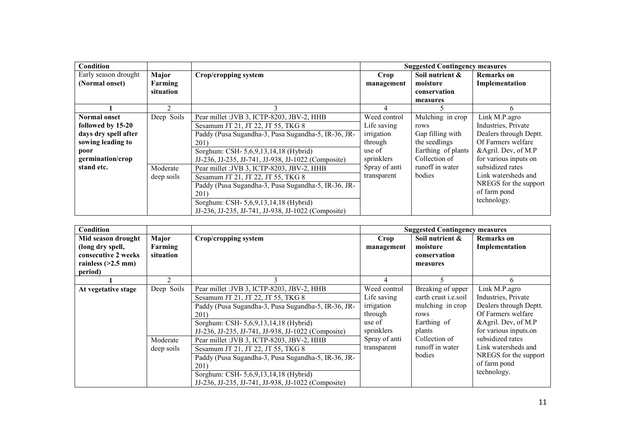| Condition            |            |                                                     |               | <b>Suggested Contingency measures</b> |                        |
|----------------------|------------|-----------------------------------------------------|---------------|---------------------------------------|------------------------|
| Early season drought | Major      | Crop/cropping system                                | Crop          | Soil nutrient &                       | <b>Remarks</b> on      |
| (Normal onset)       | Farming    |                                                     | management    | moisture                              | Implementation         |
|                      | situation  |                                                     |               | conservation                          |                        |
|                      |            |                                                     |               | measures                              |                        |
|                      |            |                                                     | 4             |                                       | 6                      |
| <b>Normal onset</b>  | Deep Soils | Pear millet : JVB 3, ICTP-8203, JBV-2, HHB          | Weed control  | Mulching in crop                      | Link M.P.agro          |
| followed by 15-20    |            | Sesamum JT 21, JT 22, JT 55, TKG 8                  | Life saving   | rows                                  | Industries, Private    |
| days dry spell after |            | Paddy (Pusa Sugandha-3, Pusa Sugandha-5, IR-36, JR- | irrigation    | Gap filling with                      | Dealers through Deptt. |
| sowing leading to    |            | 201)                                                | through       | the seedlings                         | Of Farmers welfare     |
| poor                 |            | Sorghum: CSH- 5,6,9,13,14,18 (Hybrid)               | use of        | Earthing of plants                    | &Agril. Dev, of M.P    |
| germination/crop     |            | JJ-236, JJ-235, JJ-741, JJ-938, JJ-1022 (Composite) | sprinklers    | Collection of                         | for various inputs on  |
| stand etc.           | Moderate   | Pear millet : JVB 3, ICTP-8203, JBV-2, HHB          | Spray of anti | runoff in water                       | subsidized rates       |
|                      | deep soils | Sesamum JT 21, JT 22, JT 55, TKG 8                  | transparent   | bodies                                | Link watersheds and    |
|                      |            | Paddy (Pusa Sugandha-3, Pusa Sugandha-5, IR-36, JR- |               |                                       | NREGS for the support  |
|                      |            | 201)                                                |               |                                       | of farm pond           |
|                      |            | Sorghum: CSH- 5,6,9,13,14,18 (Hybrid)               |               |                                       | technology.            |
|                      |            | JJ-236, JJ-235, JJ-741, JJ-938, JJ-1022 (Composite) |               |                                       |                        |

| <b>Condition</b>                                                                                 |                               |                                                                                                                                                                                                                                                 |                                                                              | <b>Suggested Contingency measures</b>                                                                 |                                                                                                                                      |
|--------------------------------------------------------------------------------------------------|-------------------------------|-------------------------------------------------------------------------------------------------------------------------------------------------------------------------------------------------------------------------------------------------|------------------------------------------------------------------------------|-------------------------------------------------------------------------------------------------------|--------------------------------------------------------------------------------------------------------------------------------------|
| Mid season drought<br>(long dry spell,<br>consecutive 2 weeks<br>rainless $(>2.5$ mm)<br>period) | Major<br>Farming<br>situation | Crop/cropping system                                                                                                                                                                                                                            | Crop<br>management                                                           | Soil nutrient &<br>moisture<br>conservation<br>measures                                               | <b>Remarks</b> on<br>Implementation                                                                                                  |
|                                                                                                  |                               |                                                                                                                                                                                                                                                 |                                                                              |                                                                                                       |                                                                                                                                      |
| At vegetative stage                                                                              | Deep Soils                    | Pear millet : JVB 3, ICTP-8203, JBV-2, HHB<br>Sesamum JT 21, JT 22, JT 55, TKG 8<br>Paddy (Pusa Sugandha-3, Pusa Sugandha-5, IR-36, JR-<br>201)<br>Sorghum: CSH- 5,6,9,13,14,18 (Hybrid)<br>JJ-236, JJ-235, JJ-741, JJ-938, JJ-1022 (Composite) | Weed control<br>Life saving<br>irrigation<br>through<br>use of<br>sprinklers | Breaking of upper<br>earth crust <i>i.e.soil</i><br>mulching in crop<br>rows<br>Earthing of<br>plants | Link M.P.agro<br>Industries, Private<br>Dealers through Deptt.<br>Of Farmers welfare<br>&Agril. Dev, of M.P<br>for various inputs.on |
|                                                                                                  | Moderate<br>deep soils        | Pear millet : JVB 3, ICTP-8203, JBV-2, HHB<br>Sesamum JT 21, JT 22, JT 55, TKG 8<br>Paddy (Pusa Sugandha-3, Pusa Sugandha-5, IR-36, JR-<br>201)<br>Sorghum: CSH- 5,6,9,13,14,18 (Hybrid)<br>JJ-236, JJ-235, JJ-741, JJ-938, JJ-1022 (Composite) | Spray of anti<br>transparent                                                 | Collection of<br>runoff in water<br>bodies                                                            | subsidized rates<br>Link watersheds and<br>NREGS for the support<br>of farm pond<br>technology.                                      |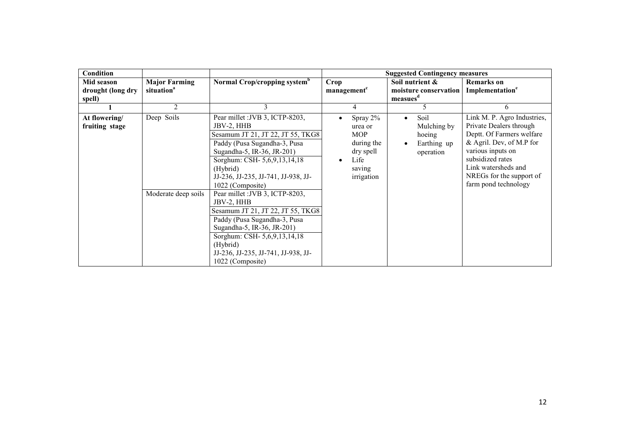| <b>Condition</b>  |                        |                                          |                         | <b>Suggested Contingency measures</b> |                             |
|-------------------|------------------------|------------------------------------------|-------------------------|---------------------------------------|-----------------------------|
| Mid season        | <b>Major Farming</b>   | Normal Crop/cropping system <sup>b</sup> | Crop                    | Soil nutrient &                       | <b>Remarks</b> on           |
| drought (long dry | situation <sup>a</sup> |                                          | management <sup>c</sup> | moisture conservation                 | Implementation <sup>e</sup> |
| spell)            |                        |                                          |                         | measues <sup>d</sup>                  |                             |
|                   | $\overline{2}$         | 3                                        | 4                       | 5                                     | 6                           |
| At flowering/     | Deep Soils             | Pear millet : JVB 3, ICTP-8203,          | Spray 2%                | Soil                                  | Link M. P. Agro Industries, |
| fruiting stage    |                        | JBV-2, HHB                               | urea or                 | Mulching by                           | Private Dealers through     |
|                   |                        | Sesamum JT 21, JT 22, JT 55, TKG8        | <b>MOP</b>              | hoeing                                | Deptt. Of Farmers welfare   |
|                   |                        | Paddy (Pusa Sugandha-3, Pusa             | during the              | Earthing up                           | & Agril. Dev, of M.P for    |
|                   |                        | Sugandha-5, IR-36, JR-201)               | dry spell               | operation                             | various inputs on           |
|                   |                        | Sorghum: CSH- 5,6,9,13,14,18             | Life                    |                                       | subsidized rates            |
|                   |                        | (Hybrid)                                 | saving                  |                                       | Link watersheds and         |
|                   |                        | JJ-236, JJ-235, JJ-741, JJ-938, JJ-      | irrigation              |                                       | NREGs for the support of    |
|                   |                        | 1022 (Composite)                         |                         |                                       | farm pond technology        |
|                   | Moderate deep soils    | Pear millet : JVB 3, ICTP-8203,          |                         |                                       |                             |
|                   |                        | JBV-2, HHB                               |                         |                                       |                             |
|                   |                        | Sesamum JT 21, JT 22, JT 55, TKG8        |                         |                                       |                             |
|                   |                        | Paddy (Pusa Sugandha-3, Pusa             |                         |                                       |                             |
|                   |                        | Sugandha-5, IR-36, JR-201)               |                         |                                       |                             |
|                   |                        | Sorghum: CSH- 5,6,9,13,14,18             |                         |                                       |                             |
|                   |                        | (Hybrid)                                 |                         |                                       |                             |
|                   |                        | JJ-236, JJ-235, JJ-741, JJ-938, JJ-      |                         |                                       |                             |
|                   |                        | 1022 (Composite)                         |                         |                                       |                             |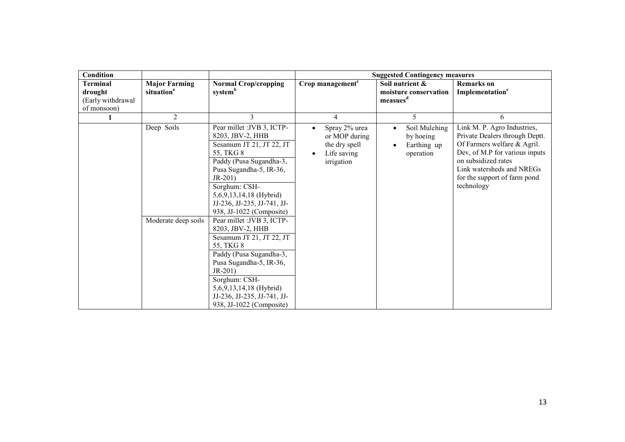| Condition                                       |                                                |                                                                                                                                                                                                                                                                                                                                                                                                                                                                                                                                        |                                                                                           | <b>Suggested Contingency measures</b>                            |                                                                                                                                                                                                                                  |
|-------------------------------------------------|------------------------------------------------|----------------------------------------------------------------------------------------------------------------------------------------------------------------------------------------------------------------------------------------------------------------------------------------------------------------------------------------------------------------------------------------------------------------------------------------------------------------------------------------------------------------------------------------|-------------------------------------------------------------------------------------------|------------------------------------------------------------------|----------------------------------------------------------------------------------------------------------------------------------------------------------------------------------------------------------------------------------|
| <b>Terminal</b><br>drought<br>(Early withdrawal | <b>Major Farming</b><br>situation <sup>a</sup> | <b>Normal Crop/cropping</b><br>system <sup>b</sup>                                                                                                                                                                                                                                                                                                                                                                                                                                                                                     | Crop management <sup>c</sup>                                                              | Soil nutrient &<br>moisture conservation<br>measues <sup>d</sup> | <b>Remarks</b> on<br>Implementation <sup>e</sup>                                                                                                                                                                                 |
| of monsoon)                                     |                                                |                                                                                                                                                                                                                                                                                                                                                                                                                                                                                                                                        |                                                                                           |                                                                  |                                                                                                                                                                                                                                  |
|                                                 | $\overline{2}$                                 | 3                                                                                                                                                                                                                                                                                                                                                                                                                                                                                                                                      | $\overline{4}$                                                                            | 5                                                                | 6                                                                                                                                                                                                                                |
|                                                 | Deep Soils<br>Moderate deep soils              | Pear millet : JVB 3, ICTP-<br>8203, JBV-2, HHB<br>Sesamum JT 21, JT 22, JT<br>55, TKG 8<br>Paddy (Pusa Sugandha-3,<br>Pusa Sugandha-5, IR-36,<br>$JR-201)$<br>Sorghum: CSH-<br>5,6,9,13,14,18 (Hybrid)<br>JJ-236, JJ-235, JJ-741, JJ-<br>938, JJ-1022 (Composite)<br>Pear millet : JVB 3, ICTP-<br>8203, JBV-2, HHB<br>Sesamum JT 21, JT 22, JT<br>55, TKG 8<br>Paddy (Pusa Sugandha-3,<br>Pusa Sugandha-5, IR-36,<br>$JR-201)$<br>Sorghum: CSH-<br>5,6,9,13,14,18 (Hybrid)<br>JJ-236, JJ-235, JJ-741, JJ-<br>938, JJ-1022 (Composite) | Spray 2% urea<br>$\bullet$<br>or MOP during<br>the dry spell<br>Life saving<br>irrigation | Soil Mulching<br>by hoeing<br>Earthing up<br>operation           | Link M. P. Agro Industries,<br>Private Dealers through Deptt.<br>Of Farmers welfare & Agril.<br>Dev, of M.P for various inputs<br>on subsidized rates<br>Link watersheds and NREGs<br>for the support of farm pond<br>technology |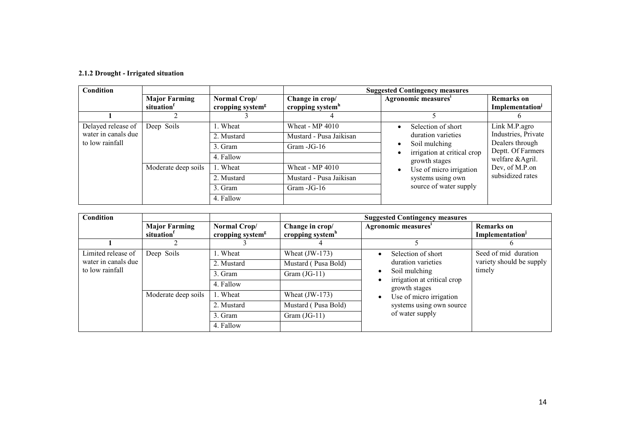# 2.1.2 Drought - Irrigated situation

| Condition           |                                                |                                              | <b>Suggested Contingency measures</b>           |                                                                                                                                                               |                                                                                                   |
|---------------------|------------------------------------------------|----------------------------------------------|-------------------------------------------------|---------------------------------------------------------------------------------------------------------------------------------------------------------------|---------------------------------------------------------------------------------------------------|
|                     | <b>Major Farming</b><br>situation <sup>1</sup> | Normal Crop/<br>cropping system <sup>g</sup> | Change in crop/<br>cropping system <sup>h</sup> | Agronomic measures <sup>1</sup>                                                                                                                               | <b>Remarks</b> on<br>Implementation <sup>J</sup>                                                  |
|                     |                                                |                                              |                                                 |                                                                                                                                                               |                                                                                                   |
| Delayed release of  | Deep Soils                                     | . Wheat                                      | Wheat - MP 4010                                 | Selection of short                                                                                                                                            | Link M.P.agro                                                                                     |
| water in canals due |                                                | 2. Mustard                                   | Mustard - Pusa Jaikisan                         | duration varieties<br>Soil mulching<br>irrigation at critical crop<br>growth stages<br>Use of micro irrigation<br>systems using own<br>source of water supply | Industries, Private<br>Dealers through<br>Deptt. Of Farmers<br>welfare & Agril.<br>Dev, of M.P.on |
| to low rainfall     | Moderate deep soils                            | 3. Gram                                      | Gram $-JG-16$                                   |                                                                                                                                                               |                                                                                                   |
|                     |                                                | 4. Fallow                                    |                                                 |                                                                                                                                                               |                                                                                                   |
|                     |                                                | . Wheat                                      | Wheat - MP 4010                                 |                                                                                                                                                               |                                                                                                   |
|                     |                                                | 2. Mustard                                   | Mustard - Pusa Jaikisan                         |                                                                                                                                                               | subsidized rates                                                                                  |
|                     |                                                | 3. Gram                                      | Gram $-JG-16$                                   |                                                                                                                                                               |                                                                                                   |
|                     |                                                | 4. Fallow                                    |                                                 |                                                                                                                                                               |                                                                                                   |

| <b>Condition</b>    |                                   |                                                         | <b>Suggested Contingency measures</b>           |                                                                                                                  |                                     |
|---------------------|-----------------------------------|---------------------------------------------------------|-------------------------------------------------|------------------------------------------------------------------------------------------------------------------|-------------------------------------|
|                     | <b>Major Farming</b><br>situation | Normal Crop/<br>cropping system <sup>g</sup>            | Change in crop/<br>cropping system <sup>h</sup> | Agronomic measures'                                                                                              | <b>Remarks</b> on<br>Implementation |
|                     |                                   |                                                         | 4                                               |                                                                                                                  |                                     |
| Limited release of  | Deep Soils                        | 1. Wheat                                                | Wheat $(JW-173)$                                | Selection of short<br>$\bullet$                                                                                  | Seed of mid duration                |
| water in canals due |                                   | duration varieties<br>Mustard (Pusa Bold)<br>2. Mustard | variety should be supply                        |                                                                                                                  |                                     |
| to low rainfall     |                                   | 3. Gram                                                 | Gram $(JG-11)$                                  | Soil mulching<br>٠                                                                                               | timely                              |
|                     |                                   | 4. Fallow                                               |                                                 | irrigation at critical crop<br>growth stages<br>Use of micro irrigation<br>$\bullet$<br>systems using own source |                                     |
|                     | Moderate deep soils               | 1. Wheat                                                | Wheat $(JW-173)$                                |                                                                                                                  |                                     |
|                     |                                   | 2. Mustard                                              | Mustard (Pusa Bold)                             |                                                                                                                  |                                     |
|                     |                                   | 3. Gram                                                 | Gram $(JG-11)$                                  | of water supply                                                                                                  |                                     |
|                     |                                   | 4. Fallow                                               |                                                 |                                                                                                                  |                                     |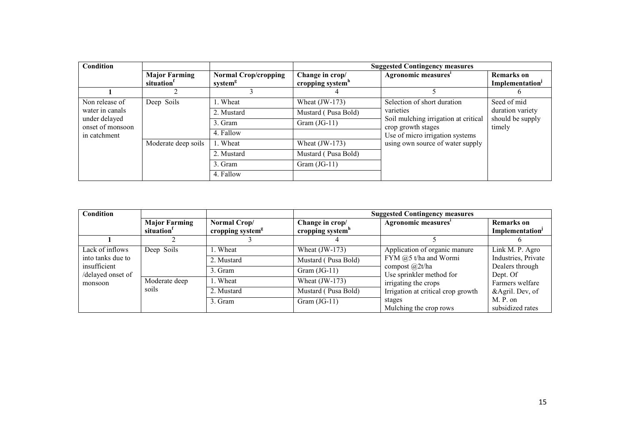| <b>Condition</b>                  |                                                |                                                    | <b>Suggested Contingency measures</b>           |                                                                                                                                                |                                     |
|-----------------------------------|------------------------------------------------|----------------------------------------------------|-------------------------------------------------|------------------------------------------------------------------------------------------------------------------------------------------------|-------------------------------------|
|                                   | <b>Major Farming</b><br>situation <sup>1</sup> | <b>Normal Crop/cropping</b><br>system <sup>g</sup> | Change in crop/<br>cropping system <sup>h</sup> | Agronomic measures'                                                                                                                            | <b>Remarks</b> on<br>Implementation |
|                                   |                                                |                                                    |                                                 |                                                                                                                                                | $\sigma$                            |
| Non release of                    | Deep Soils                                     | 1. Wheat                                           | Wheat $(JW-173)$                                | Selection of short duration                                                                                                                    | Seed of mid                         |
| water in canals                   | Moderate deep soils                            | 2. Mustard                                         | Mustard (Pusa Bold)                             | varieties<br>Soil mulching irrigation at critical<br>crop growth stages<br>Use of micro irrigation systems<br>using own source of water supply | duration variety                    |
| under delayed<br>onset of monsoon |                                                | 3. Gram                                            | Gram $(JG-11)$                                  |                                                                                                                                                | should be supply<br>timely          |
| in catchment                      |                                                | 4. Fallow                                          |                                                 |                                                                                                                                                |                                     |
|                                   |                                                | 1. Wheat                                           | Wheat $(JW-173)$                                |                                                                                                                                                |                                     |
|                                   |                                                | 2. Mustard                                         | Mustard (Pusa Bold)                             |                                                                                                                                                |                                     |
|                                   |                                                | 3. Gram                                            | Gram $(JG-11)$                                  |                                                                                                                                                |                                     |
|                                   |                                                | 4. Fallow                                          |                                                 |                                                                                                                                                |                                     |

| <b>Condition</b>                             |                                                |                                              | <b>Suggested Contingency measures</b> |                                                                                                                                           |                                                  |
|----------------------------------------------|------------------------------------------------|----------------------------------------------|---------------------------------------|-------------------------------------------------------------------------------------------------------------------------------------------|--------------------------------------------------|
|                                              | <b>Major Farming</b><br>situation <sup>1</sup> | Normal Crop/<br>cropping system <sup>g</sup> | Change in crop/<br>cropping system"   | Agronomic measures'                                                                                                                       | <b>Remarks</b> on<br>Implementation <sup>J</sup> |
|                                              |                                                |                                              |                                       |                                                                                                                                           |                                                  |
| Lack of inflows                              | Deep Soils                                     | 1. Wheat                                     | Wheat $(JW-173)$                      | Application of organic manure                                                                                                             | Link M. P. Agro                                  |
| into tanks due to                            | Moderate deep<br>soils                         | 2. Mustard                                   | Mustard (Pusa Bold)                   | FYM @5 t/ha and Wormi<br>compost $\omega$ 2t/ha<br>Use sprinkler method for<br>irrigating the crops<br>Irrigation at critical crop growth | Industries, Private                              |
| insufficient<br>/delayed onset of<br>monsoon |                                                | 3. Gram                                      | Gram $(JG-11)$                        |                                                                                                                                           | Dealers through<br>Dept. Of                      |
|                                              |                                                | 1. Wheat                                     | Wheat $(JW-173)$                      |                                                                                                                                           | Farmers welfare                                  |
|                                              |                                                | 2. Mustard                                   | Mustard (Pusa Bold)                   |                                                                                                                                           | &Agril. Dev, of                                  |
|                                              |                                                | 3. Gram                                      | Gram $(JG-11)$                        | stages                                                                                                                                    | M. P. on                                         |
|                                              |                                                |                                              |                                       | Mulching the crop rows                                                                                                                    | subsidized rates                                 |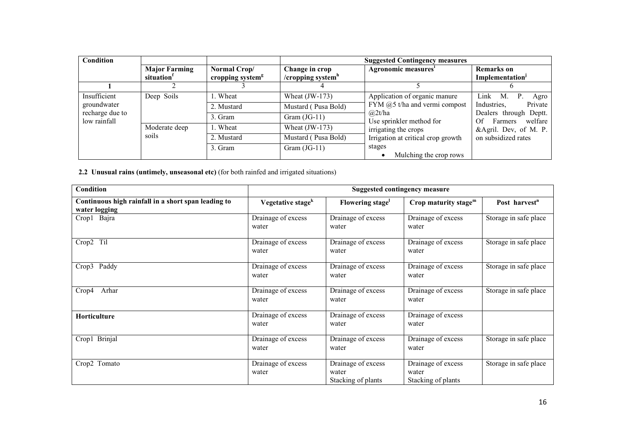| Condition                       |                                                |                                              | <b>Suggested Contingency measures</b>      |                                      |                                                    |
|---------------------------------|------------------------------------------------|----------------------------------------------|--------------------------------------------|--------------------------------------|----------------------------------------------------|
|                                 | <b>Major Farming</b><br>situation <sup>1</sup> | Normal Crop/<br>cropping system <sup>g</sup> | Change in crop<br>/ $c$ ropping system $n$ | Agronomic measures'                  | <b>Remarks</b> on<br>Implementation <sup>J</sup>   |
|                                 |                                                |                                              |                                            |                                      |                                                    |
| Insufficient                    | Deep Soils                                     | 1. Wheat                                     | Wheat $(JW-173)$                           | Application of organic manure        | Link M.<br>Agro                                    |
| groundwater                     | Moderate deep                                  | 2. Mustard                                   | Mustard (Pusa Bold)                        | FYM $@5$ t/ha and vermi compost      | Industries,<br>Private                             |
| recharge due to<br>low rainfall |                                                | 3. Gram                                      | Gram $(JG-11)$                             | (a)2t/ha<br>Use sprinkler method for | Dealers through Deptt.<br>Farmers<br>Of<br>welfare |
|                                 |                                                | 1. Wheat                                     | Wheat $(JW-173)$                           | irrigating the crops                 | &Agril. Dev, of M. P.                              |
|                                 | soils                                          | 2. Mustard                                   | Mustard (Pusa Bold)                        | Irrigation at critical crop growth   | on subsidized rates                                |
|                                 |                                                | 3. Gram                                      | Gram $(JG-11)$                             | stages<br>Mulching the crop rows     |                                                    |

2.2 Unusual rains (untimely, unseasonal etc) (for both rainfed and irrigated situations)

| Condition                                                            | <b>Suggested contingency measure</b> |                                                   |                                                   |                           |  |
|----------------------------------------------------------------------|--------------------------------------|---------------------------------------------------|---------------------------------------------------|---------------------------|--|
| Continuous high rainfall in a short span leading to<br>water logging | Vegetative stage <sup>k</sup>        | Flowering stage                                   | Crop maturity stage $m$                           | Post harvest <sup>n</sup> |  |
| Crop1 Bajra                                                          | Drainage of excess<br>water          | Drainage of excess<br>water                       | Drainage of excess<br>water                       | Storage in safe place     |  |
| Crop2 Til                                                            | Drainage of excess<br>water          | Drainage of excess<br>water                       | Drainage of excess<br>water                       | Storage in safe place     |  |
| Crop3<br>Paddy                                                       | Drainage of excess<br>water          | Drainage of excess<br>water                       | Drainage of excess<br>water                       | Storage in safe place     |  |
| Arhar<br>Crop4                                                       | Drainage of excess<br>water          | Drainage of excess<br>water                       | Drainage of excess<br>water                       | Storage in safe place     |  |
| <b>Horticulture</b>                                                  | Drainage of excess<br>water          | Drainage of excess<br>water                       | Drainage of excess<br>water                       |                           |  |
| Crop1 Brinjal                                                        | Drainage of excess<br>water          | Drainage of excess<br>water                       | Drainage of excess<br>water                       | Storage in safe place     |  |
| Crop2 Tomato                                                         | Drainage of excess<br>water          | Drainage of excess<br>water<br>Stacking of plants | Drainage of excess<br>water<br>Stacking of plants | Storage in safe place     |  |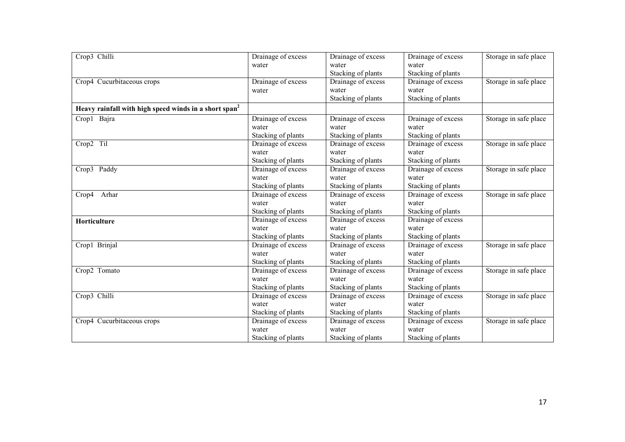| Crop3 Chilli                                                      | Drainage of excess | Drainage of excess | Drainage of excess | Storage in safe place |
|-------------------------------------------------------------------|--------------------|--------------------|--------------------|-----------------------|
|                                                                   | water              | water              | water              |                       |
|                                                                   |                    | Stacking of plants | Stacking of plants |                       |
| Crop4 Cucurbitaceous crops                                        | Drainage of excess | Drainage of excess | Drainage of excess | Storage in safe place |
|                                                                   | water              | water              | water              |                       |
|                                                                   |                    | Stacking of plants | Stacking of plants |                       |
| Heavy rainfall with high speed winds in a short span <sup>2</sup> |                    |                    |                    |                       |
| Crop1 Bajra                                                       | Drainage of excess | Drainage of excess | Drainage of excess | Storage in safe place |
|                                                                   | water              | water              | water              |                       |
|                                                                   | Stacking of plants | Stacking of plants | Stacking of plants |                       |
| Crop2 Til                                                         | Drainage of excess | Drainage of excess | Drainage of excess | Storage in safe place |
|                                                                   | water              | water              | water              |                       |
|                                                                   | Stacking of plants | Stacking of plants | Stacking of plants |                       |
| Crop3 Paddy                                                       | Drainage of excess | Drainage of excess | Drainage of excess | Storage in safe place |
|                                                                   | water              | water              | water              |                       |
|                                                                   | Stacking of plants | Stacking of plants | Stacking of plants |                       |
| Arhar<br>Crop4                                                    | Drainage of excess | Drainage of excess | Drainage of excess | Storage in safe place |
|                                                                   | water              | water              | water              |                       |
|                                                                   | Stacking of plants | Stacking of plants | Stacking of plants |                       |
| Horticulture                                                      | Drainage of excess | Drainage of excess | Drainage of excess |                       |
|                                                                   | water              | water              | water              |                       |
|                                                                   | Stacking of plants | Stacking of plants | Stacking of plants |                       |
| Crop1 Brinjal                                                     | Drainage of excess | Drainage of excess | Drainage of excess | Storage in safe place |
|                                                                   | water              | water              | water              |                       |
|                                                                   | Stacking of plants | Stacking of plants | Stacking of plants |                       |
| Crop2 Tomato                                                      | Drainage of excess | Drainage of excess | Drainage of excess | Storage in safe place |
|                                                                   | water              | water              | water              |                       |
|                                                                   | Stacking of plants | Stacking of plants | Stacking of plants |                       |
| Crop3 Chilli                                                      | Drainage of excess | Drainage of excess | Drainage of excess | Storage in safe place |
|                                                                   | water              | water              | water              |                       |
|                                                                   | Stacking of plants | Stacking of plants | Stacking of plants |                       |
| Crop4 Cucurbitaceous crops                                        | Drainage of excess | Drainage of excess | Drainage of excess | Storage in safe place |
|                                                                   | water              | water              | water              |                       |
|                                                                   | Stacking of plants | Stacking of plants | Stacking of plants |                       |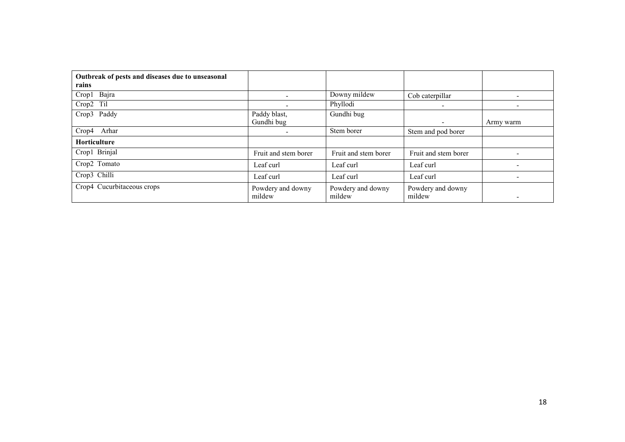| Outbreak of pests and diseases due to unseasonal<br>rains |                             |                             |                             |           |
|-----------------------------------------------------------|-----------------------------|-----------------------------|-----------------------------|-----------|
| Crop1 Bajra                                               | $\overline{\phantom{a}}$    | Downy mildew                | Cob caterpillar             | -         |
| Crop2 Til                                                 | $\overline{\phantom{a}}$    | Phyllodi                    | $\overline{\phantom{0}}$    |           |
| Crop3 Paddy                                               | Paddy blast,                | Gundhi bug                  |                             |           |
|                                                           | Gundhi bug                  |                             | $\overline{\phantom{0}}$    | Army warm |
| Arhar<br>Crop4                                            | $\overline{\phantom{a}}$    | Stem borer                  | Stem and pod borer          |           |
| <b>Horticulture</b>                                       |                             |                             |                             |           |
| Crop1 Brinjal                                             | Fruit and stem borer        | Fruit and stem borer        | Fruit and stem borer        |           |
| Crop2 Tomato                                              | Leaf curl                   | Leaf curl                   | Leaf curl                   |           |
| Crop3 Chilli                                              | Leaf curl                   | Leaf curl                   | Leaf curl                   |           |
| Crop4 Cucurbitaceous crops                                | Powdery and downy<br>mildew | Powdery and downy<br>mildew | Powdery and downy<br>mildew | -         |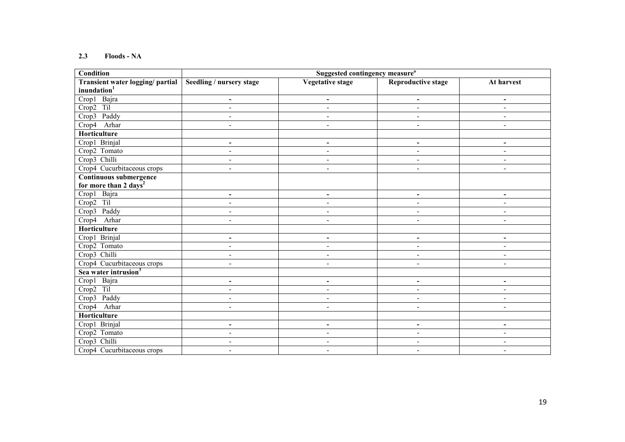#### 2.3 Floods - NA

| <b>Condition</b>                  | Suggested contingency measure <sup>o</sup> |                          |                           |                          |  |
|-----------------------------------|--------------------------------------------|--------------------------|---------------------------|--------------------------|--|
| Transient water logging/ partial  | Seedling / nursery stage                   | <b>Vegetative stage</b>  | <b>Reproductive stage</b> | At harvest               |  |
| inundation <sup>1</sup>           |                                            |                          |                           |                          |  |
| Crop1 Bajra                       | $\blacksquare$                             | $\blacksquare$           | $\blacksquare$            | $\blacksquare$           |  |
| Til<br>Crop2                      | $\blacksquare$                             | $\blacksquare$           | $\blacksquare$            | $\blacksquare$           |  |
| Crop3<br>Paddy                    | $\blacksquare$                             | $\blacksquare$           | $\blacksquare$            | $\blacksquare$           |  |
| Crop4<br>Arhar                    | $\overline{\phantom{a}}$                   | $\overline{\phantom{a}}$ | $\blacksquare$            | $\blacksquare$           |  |
| Horticulture                      |                                            |                          |                           |                          |  |
| Crop1 Brinjal                     | $\blacksquare$                             | $\blacksquare$           | $\blacksquare$            | $\overline{\phantom{a}}$ |  |
| Crop2 Tomato                      | $\overline{\phantom{a}}$                   | $\blacksquare$           | $\blacksquare$            | $\blacksquare$           |  |
| Crop3 Chilli                      | $\blacksquare$                             | $\overline{\phantom{a}}$ | $\overline{\phantom{a}}$  | $\overline{\phantom{a}}$ |  |
| Crop4 Cucurbitaceous crops        | $\blacksquare$                             | $\blacksquare$           | $\blacksquare$            | L,                       |  |
| Continuous submergence            |                                            |                          |                           |                          |  |
| for more than 2 days <sup>2</sup> |                                            |                          |                           |                          |  |
| Crop1 Bajra                       | $\blacksquare$                             | $\blacksquare$           | $\blacksquare$            | $\overline{\phantom{a}}$ |  |
| Crop2 Til                         | $\blacksquare$                             | $\blacksquare$           | $\overline{a}$            | $\overline{a}$           |  |
| Crop3 Paddy                       | $\qquad \qquad \blacksquare$               | $\blacksquare$           | $\overline{\phantom{a}}$  | $\blacksquare$           |  |
| Crop4<br>Arhar                    | $\blacksquare$                             | $\blacksquare$           | $\sim$                    | $\blacksquare$           |  |
| Horticulture                      |                                            |                          |                           |                          |  |
| Crop1 Brinjal                     | $\overline{\phantom{a}}$                   | $\overline{\phantom{a}}$ | $\blacksquare$            | $\blacksquare$           |  |
| Crop2 Tomato                      | $\overline{\phantom{a}}$                   | $\blacksquare$           | $\overline{\phantom{a}}$  | $\blacksquare$           |  |
| Crop3 Chilli                      | $\blacksquare$                             | $\blacksquare$           | $\blacksquare$            | $\blacksquare$           |  |
| Crop4 Cucurbitaceous crops        | $\blacksquare$                             | $\blacksquare$           | $\blacksquare$            | $\blacksquare$           |  |
| Sea water intrusion <sup>3</sup>  |                                            |                          |                           |                          |  |
| Crop1 Bajra                       | $\blacksquare$                             | $\blacksquare$           | $\blacksquare$            | $\overline{\phantom{a}}$ |  |
| $Crop2$ Til                       | $\blacksquare$                             | $\blacksquare$           | $\blacksquare$            | L,                       |  |
| Crop3 Paddy                       | $\blacksquare$                             | $\overline{\phantom{a}}$ | $\blacksquare$            | $\blacksquare$           |  |
| Arhar<br>Crop4                    | $\blacksquare$                             | $\blacksquare$           | $\blacksquare$            | $\blacksquare$           |  |
| <b>Horticulture</b>               |                                            |                          |                           |                          |  |
| Crop1 Brinjal                     | $\blacksquare$                             | $\blacksquare$           | $\overline{\phantom{a}}$  | $\overline{\phantom{a}}$ |  |
| Crop2 Tomato                      | $\blacksquare$                             | $\blacksquare$           | $\blacksquare$            | $\blacksquare$           |  |
| Crop3 Chilli                      | $\overline{\phantom{a}}$                   | $\overline{\phantom{0}}$ | $\blacksquare$            | $\blacksquare$           |  |
| Crop4 Cucurbitaceous crops        | $\blacksquare$                             | $\overline{\phantom{a}}$ | $\overline{\phantom{a}}$  | $\blacksquare$           |  |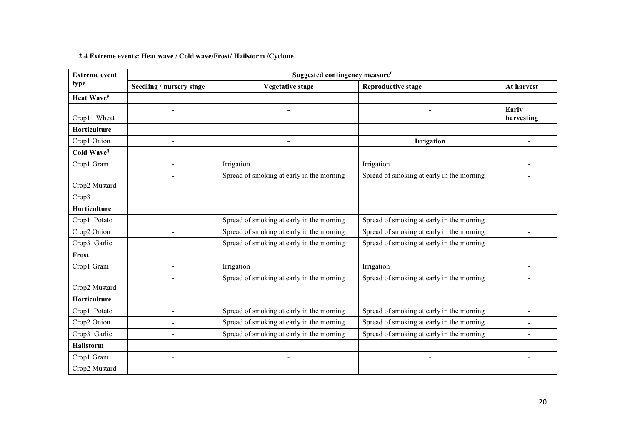# 2.4 Extreme events: Heat wave / Cold wave/Frost/ Hailstorm /Cyclone

| <b>Extreme event</b>   | Suggested contingency measure <sup>r</sup> |                                           |                                           |                     |  |  |  |
|------------------------|--------------------------------------------|-------------------------------------------|-------------------------------------------|---------------------|--|--|--|
| type                   | Seedling / nursery stage                   | <b>Vegetative stage</b>                   | <b>Reproductive stage</b>                 | At harvest          |  |  |  |
| Heat Wave <sup>p</sup> |                                            |                                           |                                           |                     |  |  |  |
| Crop1 Wheat            |                                            |                                           |                                           | Early<br>harvesting |  |  |  |
| Horticulture           |                                            |                                           |                                           |                     |  |  |  |
| Crop1 Onion            |                                            |                                           | Irrigation                                |                     |  |  |  |
| Cold Wave <sup>q</sup> |                                            |                                           |                                           |                     |  |  |  |
| Crop1 Gram             |                                            | Irrigation                                | Irrigation                                |                     |  |  |  |
| Crop2 Mustard          |                                            | Spread of smoking at early in the morning | Spread of smoking at early in the morning |                     |  |  |  |
| Crop3                  |                                            |                                           |                                           |                     |  |  |  |
| Horticulture           |                                            |                                           |                                           |                     |  |  |  |
| Crop1 Potato           | $\blacksquare$                             | Spread of smoking at early in the morning | Spread of smoking at early in the morning | $\blacksquare$      |  |  |  |
| Crop2 Onion            |                                            | Spread of smoking at early in the morning | Spread of smoking at early in the morning |                     |  |  |  |
| Crop3 Garlic           |                                            | Spread of smoking at early in the morning | Spread of smoking at early in the morning |                     |  |  |  |
| Frost                  |                                            |                                           |                                           |                     |  |  |  |
| Crop1 Gram             | $\qquad \qquad \blacksquare$               | Irrigation                                | Irrigation                                | $\overline{a}$      |  |  |  |
| Crop2 Mustard          |                                            | Spread of smoking at early in the morning | Spread of smoking at early in the morning |                     |  |  |  |
| Horticulture           |                                            |                                           |                                           |                     |  |  |  |
| Crop1 Potato           | $\blacksquare$                             | Spread of smoking at early in the morning | Spread of smoking at early in the morning |                     |  |  |  |
| Crop2 Onion            | $\blacksquare$                             | Spread of smoking at early in the morning | Spread of smoking at early in the morning |                     |  |  |  |
| Crop3 Garlic           |                                            | Spread of smoking at early in the morning | Spread of smoking at early in the morning |                     |  |  |  |
| Hailstorm              |                                            |                                           |                                           |                     |  |  |  |
| Crop1 Gram             | $\blacksquare$                             |                                           |                                           |                     |  |  |  |
| Crop2 Mustard          |                                            |                                           |                                           |                     |  |  |  |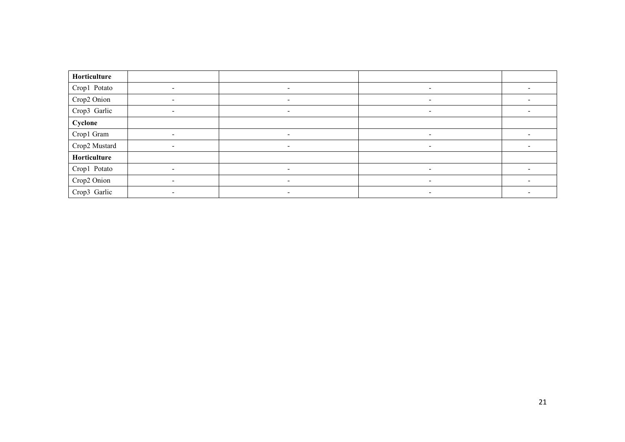| Horticulture  |                          |                              |  |
|---------------|--------------------------|------------------------------|--|
| Crop1 Potato  | $\overline{\phantom{a}}$ | $\overline{\phantom{a}}$     |  |
| Crop2 Onion   |                          | $\qquad \qquad \blacksquare$ |  |
| Crop3 Garlic  | $\overline{\phantom{0}}$ | $\overline{\phantom{a}}$     |  |
| Cyclone       |                          |                              |  |
| Crop1 Gram    | $\overline{\phantom{a}}$ | $\sim$                       |  |
| Crop2 Mustard | $\,$                     | $\overline{\phantom{0}}$     |  |
| Horticulture  |                          |                              |  |
| Crop1 Potato  |                          | $\overline{\phantom{a}}$     |  |
| Crop2 Onion   | $\overline{\phantom{0}}$ | $\overline{\phantom{a}}$     |  |
| Crop3 Garlic  |                          | $\overline{\phantom{a}}$     |  |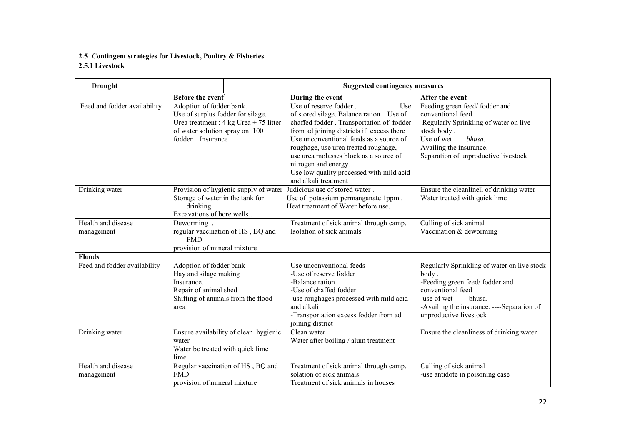#### 2.5 Contingent strategies for Livestock, Poultry & Fisheries 2.5.1 Livestock

| <b>Drought</b>               |                                                                                                                                       | <b>Suggested contingency measures</b>            |                                                                                                                                                                                                                                                                                                                                                                                             |                                                                                                                                                                                                              |  |
|------------------------------|---------------------------------------------------------------------------------------------------------------------------------------|--------------------------------------------------|---------------------------------------------------------------------------------------------------------------------------------------------------------------------------------------------------------------------------------------------------------------------------------------------------------------------------------------------------------------------------------------------|--------------------------------------------------------------------------------------------------------------------------------------------------------------------------------------------------------------|--|
|                              | Before the event <sup>s</sup>                                                                                                         |                                                  | During the event                                                                                                                                                                                                                                                                                                                                                                            | After the event                                                                                                                                                                                              |  |
| Feed and fodder availability | Adoption of fodder bank.<br>Use of surplus fodder for silage.<br>of water solution spray on 100<br>fodder Insurance                   | Urea treatment : $4 \text{ kg}$ Urea + 75 litter | Use of reserve fodder.<br>Use<br>of stored silage. Balance ration Use of<br>chaffed fodder . Transportation of fodder<br>from ad joining districts if excess there<br>Use unconventional feeds as a source of<br>roughage, use urea treated roughage,<br>use urea molasses block as a source of<br>nitrogen and energy.<br>Use low quality processed with mild acid<br>and alkali treatment | Feeding green feed/fodder and<br>conventional feed.<br>Regularly Sprinkling of water on live<br>stock body.<br>Use of wet<br>bhusa.<br>Availing the insurance.<br>Separation of unproductive livestock       |  |
| Drinking water               | Storage of water in the tank for<br>drinking<br>Excavations of bore wells.                                                            | Provision of hygienic supply of water            | Judicious use of stored water.<br>Use of potassium permanganate 1ppm,<br>Heat treatment of Water before use.                                                                                                                                                                                                                                                                                | Ensure the cleanlinell of drinking water<br>Water treated with quick lime                                                                                                                                    |  |
| Health and disease           | Deworming,                                                                                                                            |                                                  | Treatment of sick animal through camp.                                                                                                                                                                                                                                                                                                                                                      | Culling of sick animal                                                                                                                                                                                       |  |
| management                   | <b>FMD</b><br>provision of mineral mixture                                                                                            | regular vaccination of HS, BQ and                | Isolation of sick animals                                                                                                                                                                                                                                                                                                                                                                   | Vaccination & deworming                                                                                                                                                                                      |  |
| <b>Floods</b>                |                                                                                                                                       |                                                  |                                                                                                                                                                                                                                                                                                                                                                                             |                                                                                                                                                                                                              |  |
| Feed and fodder availability | Adoption of fodder bank<br>Hay and silage making<br>Insurance.<br>Repair of animal shed<br>Shifting of animals from the flood<br>area |                                                  | Use unconventional feeds<br>-Use of reserve fodder<br>-Balance ration<br>-Use of chaffed fodder<br>-use roughages processed with mild acid<br>and alkali<br>-Transportation excess fodder from ad<br>joining district                                                                                                                                                                       | Regularly Sprinkling of water on live stock<br>body.<br>-Feeding green feed/fodder and<br>conventional feed<br>-use of wet<br>bhusa.<br>-Availing the insurance. ----Separation of<br>unproductive livestock |  |
| Drinking water               | water<br>Water be treated with quick lime<br>lime                                                                                     | Ensure availability of clean hygienic            | Clean water<br>Water after boiling / alum treatment                                                                                                                                                                                                                                                                                                                                         | Ensure the cleanliness of drinking water                                                                                                                                                                     |  |
| Health and disease           |                                                                                                                                       | Regular vaccination of HS, BQ and                | Treatment of sick animal through camp.                                                                                                                                                                                                                                                                                                                                                      | Culling of sick animal                                                                                                                                                                                       |  |
| management                   | <b>FMD</b><br>provision of mineral mixture                                                                                            |                                                  | solation of sick animals.<br>Treatment of sick animals in houses                                                                                                                                                                                                                                                                                                                            | -use antidote in poisoning case                                                                                                                                                                              |  |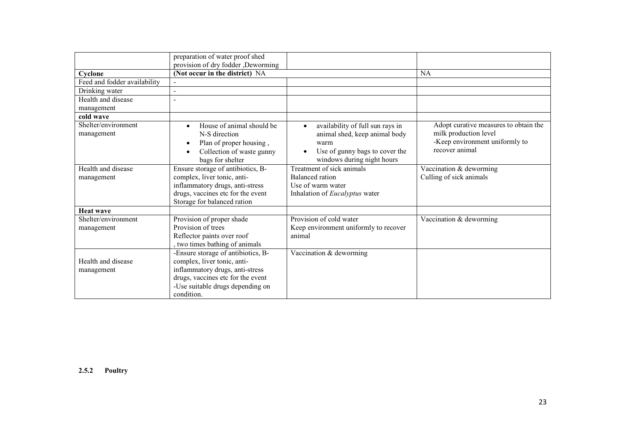|                                   | preparation of water proof shed<br>provision of dry fodder , Deworming                                                                           |                                                                                                                                                        |                                                                                                                    |
|-----------------------------------|--------------------------------------------------------------------------------------------------------------------------------------------------|--------------------------------------------------------------------------------------------------------------------------------------------------------|--------------------------------------------------------------------------------------------------------------------|
| Cyclone                           | (Not occur in the district) NA                                                                                                                   |                                                                                                                                                        | <b>NA</b>                                                                                                          |
| Feed and fodder availability      |                                                                                                                                                  |                                                                                                                                                        |                                                                                                                    |
| Drinking water                    |                                                                                                                                                  |                                                                                                                                                        |                                                                                                                    |
| Health and disease                |                                                                                                                                                  |                                                                                                                                                        |                                                                                                                    |
| management                        |                                                                                                                                                  |                                                                                                                                                        |                                                                                                                    |
| cold wave                         |                                                                                                                                                  |                                                                                                                                                        |                                                                                                                    |
| Shelter/environment<br>management | House of animal should be<br>$\bullet$<br>N-S direction<br>Plan of proper housing,<br>$\bullet$<br>Collection of waste gunny<br>bags for shelter | availability of full sun rays in<br>$\bullet$<br>animal shed, keep animal body<br>warm<br>Use of gunny bags to cover the<br>windows during night hours | Adopt curative measures to obtain the<br>milk production level<br>-Keep environment uniformly to<br>recover animal |
| Health and disease                | Ensure storage of antibiotics, B-                                                                                                                | Treatment of sick animals                                                                                                                              | Vaccination & deworming                                                                                            |
| management                        | complex, liver tonic, anti-                                                                                                                      | Balanced ration                                                                                                                                        | Culling of sick animals                                                                                            |
|                                   | inflammatory drugs, anti-stress                                                                                                                  | Use of warm water                                                                                                                                      |                                                                                                                    |
|                                   | drugs, vaccines etc for the event                                                                                                                | Inhalation of <i>Eucalyptus</i> water                                                                                                                  |                                                                                                                    |
|                                   | Storage for balanced ration                                                                                                                      |                                                                                                                                                        |                                                                                                                    |
| <b>Heat wave</b>                  |                                                                                                                                                  |                                                                                                                                                        |                                                                                                                    |
| Shelter/environment               | Provision of proper shade                                                                                                                        | Provision of cold water                                                                                                                                | Vaccination & deworming                                                                                            |
| management                        | Provision of trees                                                                                                                               | Keep environment uniformly to recover                                                                                                                  |                                                                                                                    |
|                                   | Reflector paints over roof                                                                                                                       | animal                                                                                                                                                 |                                                                                                                    |
|                                   | two times bathing of animals                                                                                                                     |                                                                                                                                                        |                                                                                                                    |
| Health and disease                | -Ensure storage of antibiotics, B-                                                                                                               | Vaccination $&$ deworming                                                                                                                              |                                                                                                                    |
|                                   | complex, liver tonic, anti-                                                                                                                      |                                                                                                                                                        |                                                                                                                    |
| management                        | inflammatory drugs, anti-stress<br>drugs, vaccines etc for the event                                                                             |                                                                                                                                                        |                                                                                                                    |
|                                   | -Use suitable drugs depending on                                                                                                                 |                                                                                                                                                        |                                                                                                                    |
|                                   | condition.                                                                                                                                       |                                                                                                                                                        |                                                                                                                    |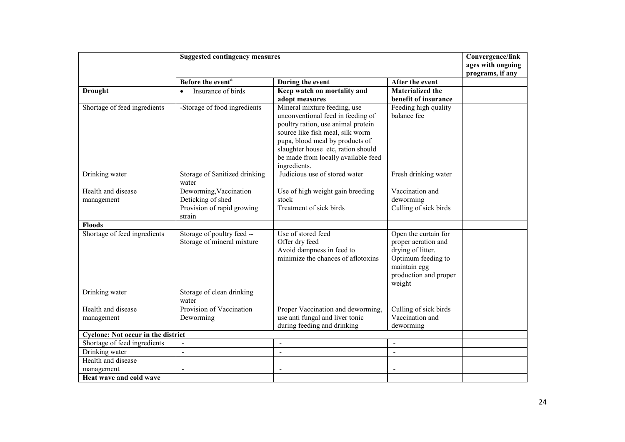|                                           | <b>Suggested contingency measures</b>                                               | Convergence/link                                                                                                                                                                                                                                                            |                                                                                                                                           |                                       |
|-------------------------------------------|-------------------------------------------------------------------------------------|-----------------------------------------------------------------------------------------------------------------------------------------------------------------------------------------------------------------------------------------------------------------------------|-------------------------------------------------------------------------------------------------------------------------------------------|---------------------------------------|
|                                           |                                                                                     |                                                                                                                                                                                                                                                                             |                                                                                                                                           | ages with ongoing<br>programs, if any |
|                                           | Before the event <sup>a</sup>                                                       | During the event                                                                                                                                                                                                                                                            | After the event                                                                                                                           |                                       |
| <b>Drought</b>                            | Insurance of birds                                                                  | Keep watch on mortality and                                                                                                                                                                                                                                                 | <b>Materialized the</b>                                                                                                                   |                                       |
|                                           |                                                                                     | adopt measures                                                                                                                                                                                                                                                              | benefit of insurance                                                                                                                      |                                       |
| Shortage of feed ingredients              | -Storage of food ingredients                                                        | Mineral mixture feeding, use<br>unconventional feed in feeding of<br>poultry ration, use animal protein<br>source like fish meal, silk worm<br>pupa, blood meal by products of<br>slaughter house etc, ration should<br>be made from locally available feed<br>ingredients. | Feeding high quality<br>balance fee                                                                                                       |                                       |
| Drinking water                            | Storage of Sanitized drinking<br>water                                              | Judicious use of stored water                                                                                                                                                                                                                                               | Fresh drinking water                                                                                                                      |                                       |
| Health and disease<br>management          | Deworming, Vaccination<br>Deticking of shed<br>Provision of rapid growing<br>strain | Use of high weight gain breeding<br>stock<br>Treatment of sick birds                                                                                                                                                                                                        | Vaccination and<br>deworming<br>Culling of sick birds                                                                                     |                                       |
| <b>Floods</b>                             |                                                                                     |                                                                                                                                                                                                                                                                             |                                                                                                                                           |                                       |
| Shortage of feed ingredients              | Storage of poultry feed --<br>Storage of mineral mixture                            | Use of stored feed<br>Offer dry feed<br>Avoid dampness in feed to<br>minimize the chances of aflotoxins                                                                                                                                                                     | Open the curtain for<br>proper aeration and<br>drying of litter.<br>Optimum feeding to<br>maintain egg<br>production and proper<br>weight |                                       |
| Drinking water                            | Storage of clean drinking<br>water                                                  |                                                                                                                                                                                                                                                                             |                                                                                                                                           |                                       |
| Health and disease                        | Provision of Vaccination                                                            | Proper Vaccination and deworming,                                                                                                                                                                                                                                           | Culling of sick birds                                                                                                                     |                                       |
| management                                | Deworming                                                                           | use anti fungal and liver tonic<br>during feeding and drinking                                                                                                                                                                                                              | Vaccination and<br>deworming                                                                                                              |                                       |
| <b>Cyclone: Not occur in the district</b> |                                                                                     |                                                                                                                                                                                                                                                                             |                                                                                                                                           |                                       |
| Shortage of feed ingredients              |                                                                                     | $\mathbf{r}$                                                                                                                                                                                                                                                                | $\blacksquare$                                                                                                                            |                                       |
| Drinking water                            | $\Box$                                                                              | $\overline{a}$                                                                                                                                                                                                                                                              | $\blacksquare$                                                                                                                            |                                       |
| Health and disease                        |                                                                                     |                                                                                                                                                                                                                                                                             |                                                                                                                                           |                                       |
| management                                |                                                                                     | Ĭ.                                                                                                                                                                                                                                                                          |                                                                                                                                           |                                       |
| Heat wave and cold wave                   |                                                                                     |                                                                                                                                                                                                                                                                             |                                                                                                                                           |                                       |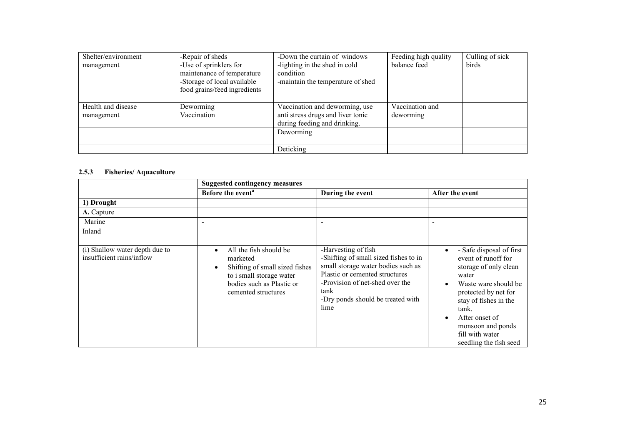| Shelter/environment              | -Repair of sheds                                                                                                    | -Down the curtain of windows                                                                        | Feeding high quality         | Culling of sick |
|----------------------------------|---------------------------------------------------------------------------------------------------------------------|-----------------------------------------------------------------------------------------------------|------------------------------|-----------------|
| management                       | -Use of sprinklers for<br>maintenance of temperature<br>-Storage of local available<br>food grains/feed ingredients | -lighting in the shed in cold<br>condition<br>-maintain the temperature of shed                     | balance feed                 | birds           |
| Health and disease<br>management | Deworming<br>Vaccination                                                                                            | Vaccination and deworming, use<br>anti stress drugs and liver tonic<br>during feeding and drinking. | Vaccination and<br>deworming |                 |
|                                  |                                                                                                                     | Deworming                                                                                           |                              |                 |
|                                  |                                                                                                                     | Deticking                                                                                           |                              |                 |

# 2.5.3 Fisheries/ Aquaculture

|                                                             | <b>Suggested contingency measures</b>                                                                                                                |                                                                                                                                                                                                                              |                                                                                                                                                                                                                                                                                   |
|-------------------------------------------------------------|------------------------------------------------------------------------------------------------------------------------------------------------------|------------------------------------------------------------------------------------------------------------------------------------------------------------------------------------------------------------------------------|-----------------------------------------------------------------------------------------------------------------------------------------------------------------------------------------------------------------------------------------------------------------------------------|
|                                                             | Before the event <sup>a</sup>                                                                                                                        | During the event                                                                                                                                                                                                             | After the event                                                                                                                                                                                                                                                                   |
| 1) Drought                                                  |                                                                                                                                                      |                                                                                                                                                                                                                              |                                                                                                                                                                                                                                                                                   |
| A. Capture                                                  |                                                                                                                                                      |                                                                                                                                                                                                                              |                                                                                                                                                                                                                                                                                   |
| Marine                                                      |                                                                                                                                                      | $\overline{\phantom{a}}$                                                                                                                                                                                                     |                                                                                                                                                                                                                                                                                   |
| Inland                                                      |                                                                                                                                                      |                                                                                                                                                                                                                              |                                                                                                                                                                                                                                                                                   |
| (i) Shallow water depth due to<br>insufficient rains/inflow | All the fish should be<br>marketed<br>Shifting of small sized fishes<br>to i small storage water<br>bodies such as Plastic or<br>cemented structures | -Harvesting of fish<br>-Shifting of small sized fishes to in<br>small storage water bodies such as<br>Plastic or cemented structures<br>-Provision of net-shed over the<br>tank<br>-Dry ponds should be treated with<br>lime | - Safe disposal of first<br>$\bullet$<br>event of runoff for<br>storage of only clean<br>water<br>Waste ware should be<br>protected by net for<br>stay of fishes in the<br>tank.<br>After onset of<br>$\bullet$<br>monsoon and ponds<br>fill with water<br>seedling the fish seed |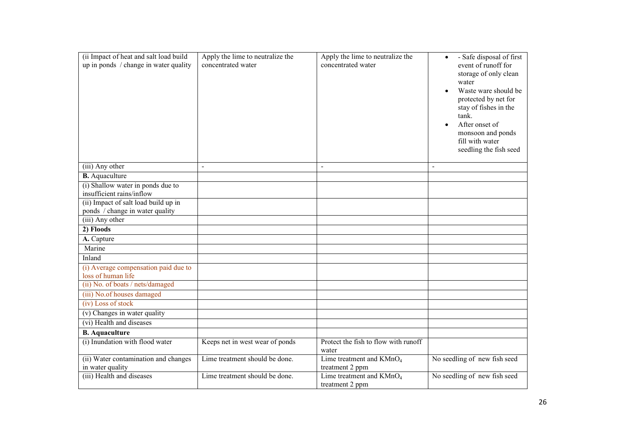| (ii Impact of heat and salt load build                     | Apply the lime to neutralize the | Apply the lime to neutralize the              | - Safe disposal of first<br>$\bullet$                                                                                                                                                                                       |
|------------------------------------------------------------|----------------------------------|-----------------------------------------------|-----------------------------------------------------------------------------------------------------------------------------------------------------------------------------------------------------------------------------|
| up in ponds / change in water quality                      | concentrated water               | concentrated water                            | event of runoff for<br>storage of only clean<br>water<br>Waste ware should be<br>protected by net for<br>stay of fishes in the<br>tank.<br>After onset of<br>monsoon and ponds<br>fill with water<br>seedling the fish seed |
| (iii) Any other                                            | $\blacksquare$                   | $\blacksquare$                                | $\blacksquare$                                                                                                                                                                                                              |
| <b>B.</b> Aquaculture                                      |                                  |                                               |                                                                                                                                                                                                                             |
| (i) Shallow water in ponds due to                          |                                  |                                               |                                                                                                                                                                                                                             |
| insufficient rains/inflow                                  |                                  |                                               |                                                                                                                                                                                                                             |
| (ii) Impact of salt load build up in                       |                                  |                                               |                                                                                                                                                                                                                             |
| ponds / change in water quality<br>(iii) Any other         |                                  |                                               |                                                                                                                                                                                                                             |
|                                                            |                                  |                                               |                                                                                                                                                                                                                             |
| 2) Floods                                                  |                                  |                                               |                                                                                                                                                                                                                             |
| A. Capture                                                 |                                  |                                               |                                                                                                                                                                                                                             |
| Marine                                                     |                                  |                                               |                                                                                                                                                                                                                             |
| Inland                                                     |                                  |                                               |                                                                                                                                                                                                                             |
| (i) Average compensation paid due to<br>loss of human life |                                  |                                               |                                                                                                                                                                                                                             |
| (ii) No. of boats / nets/damaged                           |                                  |                                               |                                                                                                                                                                                                                             |
| (iii) No.of houses damaged                                 |                                  |                                               |                                                                                                                                                                                                                             |
| $(iv)$ Loss of stock                                       |                                  |                                               |                                                                                                                                                                                                                             |
| (v) Changes in water quality                               |                                  |                                               |                                                                                                                                                                                                                             |
| (vi) Health and diseases                                   |                                  |                                               |                                                                                                                                                                                                                             |
| <b>B.</b> Aquaculture                                      |                                  |                                               |                                                                                                                                                                                                                             |
| (i) Inundation with flood water                            | Keeps net in west wear of ponds  | Protect the fish to flow with runoff          |                                                                                                                                                                                                                             |
|                                                            |                                  | water                                         |                                                                                                                                                                                                                             |
| (ii) Water contamination and changes                       | Lime treatment should be done.   | Lime treatment and $KMnO4$                    | No seedling of new fish seed                                                                                                                                                                                                |
| in water quality                                           |                                  | treatment 2 ppm                               |                                                                                                                                                                                                                             |
| (iii) Health and diseases                                  | Lime treatment should be done.   | Lime treatment and $KMnO4$<br>treatment 2 ppm | No seedling of new fish seed                                                                                                                                                                                                |